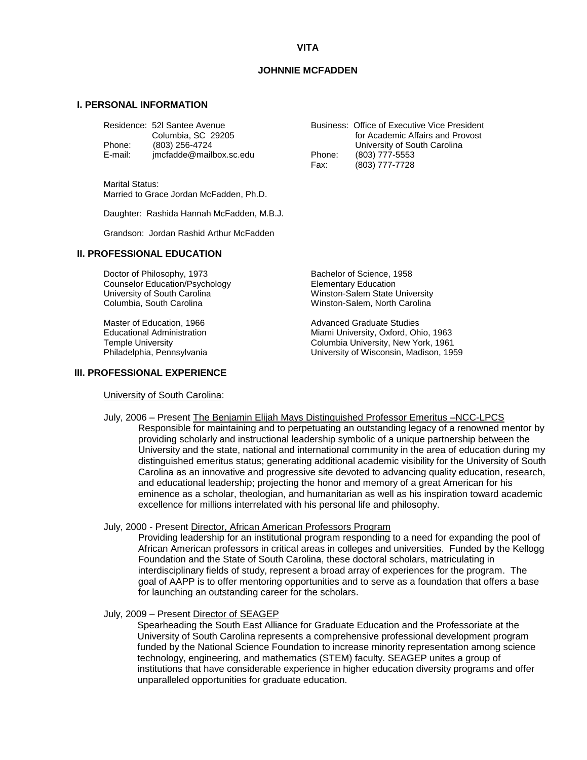# **VITA**

# **JOHNNIE MCFADDEN**

# **I. PERSONAL INFORMATION**

|         | Residence: 52l Santee Avenue<br>Columbia, SC 29205 |        | Business: Office of Executive Vice President<br>for Academic Affairs and Provost |
|---------|----------------------------------------------------|--------|----------------------------------------------------------------------------------|
| Phone:  | (803) 256-4724                                     |        | University of South Carolina                                                     |
| E-mail: | imcfadde@mailbox.sc.edu                            | Phone: | (803) 777-5553                                                                   |
|         |                                                    | Fax:   | $(803)$ 777-7728                                                                 |

Marital Status: Married to Grace Jordan McFadden, Ph.D.

Daughter: Rashida Hannah McFadden, M.B.J.

Grandson: Jordan Rashid Arthur McFadden

## **II. PROFESSIONAL EDUCATION**

Doctor of Philosophy, 1973<br>
Counselor Education/Psychology<br>
Elementary Education Counselor Education/Psychology<br>University of South Carolina Columbia, South Carolina Winston-Salem, North Carolina

### **III. PROFESSIONAL EXPERIENCE**

University of South Carolina:

Fax: (803) 777-7728

Winston-Salem State University

Master of Education, 1966 Master of Education, 1966<br>
Educational Administration Miles Miami University, Oxford, Oh Educational Administration and Miami University, Oxford, Ohio, 1963<br>Temple University<br>Columbia University, New York, 1961 Columbia University, New York, 1961 Philadelphia, Pennsylvania University of Wisconsin, Madison, 1959

# July, 2006 – Present The Benjamin Elijah Mays Distinguished Professor Emeritus –NCC-LPCS

Responsible for maintaining and to perpetuating an outstanding legacy of a renowned mentor by providing scholarly and instructional leadership symbolic of a unique partnership between the University and the state, national and international community in the area of education during my distinguished emeritus status; generating additional academic visibility for the University of South Carolina as an innovative and progressive site devoted to advancing quality education, research, and educational leadership; projecting the honor and memory of a great American for his eminence as a scholar, theologian, and humanitarian as well as his inspiration toward academic excellence for millions interrelated with his personal life and philosophy.

#### July, 2000 - Present Director, African American Professors Program

Providing leadership for an institutional program responding to a need for expanding the pool of African American professors in critical areas in colleges and universities. Funded by the Kellogg Foundation and the State of South Carolina, these doctoral scholars, matriculating in interdisciplinary fields of study, represent a broad array of experiences for the program. The goal of AAPP is to offer mentoring opportunities and to serve as a foundation that offers a base for launching an outstanding career for the scholars.

#### July, 2009 – Present Director of SEAGEP

Spearheading the South East Alliance for Graduate Education and the Professoriate at the University of South Carolina represents a comprehensive professional development program funded by the National Science Foundation to increase minority representation among science technology, engineering, and mathematics (STEM) faculty. SEAGEP unites a group of institutions that have considerable experience in higher education diversity programs and offer unparalleled opportunities for graduate education.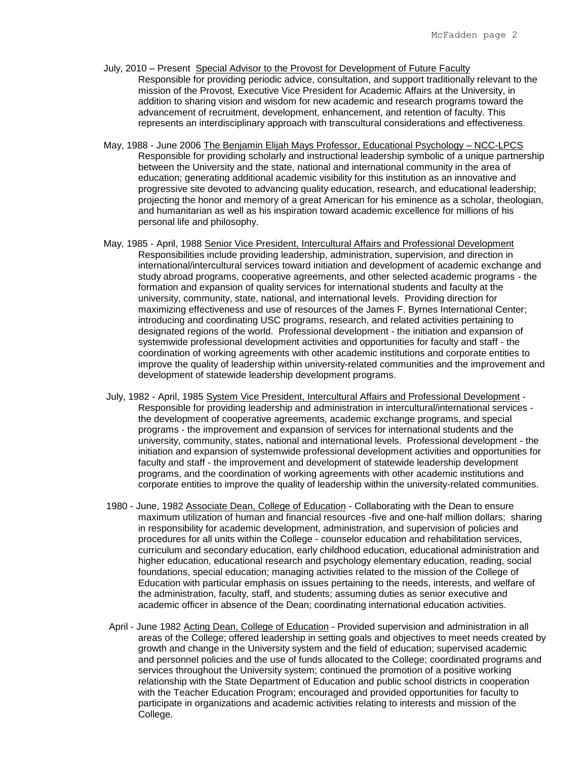- July, 2010 Present Special Advisor to the Provost for Development of Future Faculty Responsible for providing periodic advice, consultation, and support traditionally relevant to the mission of the Provost, Executive Vice President for Academic Affairs at the University, in addition to sharing vision and wisdom for new academic and research programs toward the advancement of recruitment, development, enhancement, and retention of faculty. This represents an interdisciplinary approach with transcultural considerations and effectiveness.
- May, 1988 June 2006 The Benjamin Elijah Mays Professor, Educational Psychology NCC-LPCS Responsible for providing scholarly and instructional leadership symbolic of a unique partnership between the University and the state, national and international community in the area of education; generating additional academic visibility for this institution as an innovative and progressive site devoted to advancing quality education, research, and educational leadership; projecting the honor and memory of a great American for his eminence as a scholar, theologian, and humanitarian as well as his inspiration toward academic excellence for millions of his personal life and philosophy.
- May, 1985 April, 1988 Senior Vice President, Intercultural Affairs and Professional Development Responsibilities include providing leadership, administration, supervision, and direction in international/intercultural services toward initiation and development of academic exchange and study abroad programs, cooperative agreements, and other selected academic programs - the formation and expansion of quality services for international students and faculty at the university, community, state, national, and international levels. Providing direction for maximizing effectiveness and use of resources of the James F. Byrnes International Center; introducing and coordinating USC programs, research, and related activities pertaining to designated regions of the world. Professional development - the initiation and expansion of systemwide professional development activities and opportunities for faculty and staff - the coordination of working agreements with other academic institutions and corporate entities to improve the quality of leadership within university-related communities and the improvement and development of statewide leadership development programs.
- July, 1982 April, 1985 System Vice President, Intercultural Affairs and Professional Development Responsible for providing leadership and administration in intercultural/international services the development of cooperative agreements, academic exchange programs, and special programs - the improvement and expansion of services for international students and the university, community, states, national and international levels. Professional development - the initiation and expansion of systemwide professional development activities and opportunities for faculty and staff - the improvement and development of statewide leadership development programs, and the coordination of working agreements with other academic institutions and corporate entities to improve the quality of leadership within the university-related communities.
- 1980 June, 1982 Associate Dean, College of Education Collaborating with the Dean to ensure maximum utilization of human and financial resources -five and one-half million dollars; sharing in responsibility for academic development, administration, and supervision of policies and procedures for all units within the College - counselor education and rehabilitation services, curriculum and secondary education, early childhood education, educational administration and higher education, educational research and psychology elementary education, reading, social foundations, special education; managing activities related to the mission of the College of Education with particular emphasis on issues pertaining to the needs, interests, and welfare of the administration, faculty, staff, and students; assuming duties as senior executive and academic officer in absence of the Dean; coordinating international education activities.
- April June 1982 Acting Dean, College of Education Provided supervision and administration in all areas of the College; offered leadership in setting goals and objectives to meet needs created by growth and change in the University system and the field of education; supervised academic and personnel policies and the use of funds allocated to the College; coordinated programs and services throughout the University system; continued the promotion of a positive working relationship with the State Department of Education and public school districts in cooperation with the Teacher Education Program; encouraged and provided opportunities for faculty to participate in organizations and academic activities relating to interests and mission of the College.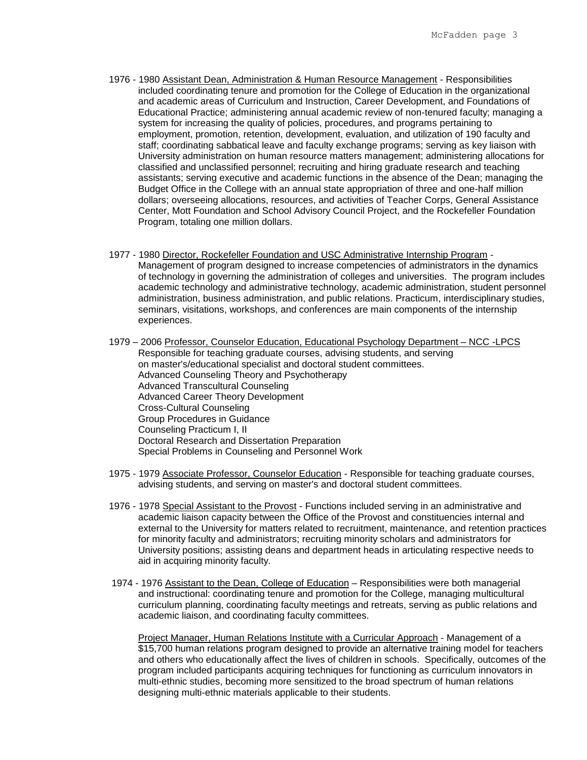- 1976 1980 Assistant Dean, Administration & Human Resource Management Responsibilities included coordinating tenure and promotion for the College of Education in the organizational and academic areas of Curriculum and Instruction, Career Development, and Foundations of Educational Practice; administering annual academic review of non-tenured faculty; managing a system for increasing the quality of policies, procedures, and programs pertaining to employment, promotion, retention, development, evaluation, and utilization of 190 faculty and staff; coordinating sabbatical leave and faculty exchange programs; serving as key liaison with University administration on human resource matters management; administering allocations for classified and unclassified personnel; recruiting and hiring graduate research and teaching assistants; serving executive and academic functions in the absence of the Dean; managing the Budget Office in the College with an annual state appropriation of three and one-half million dollars; overseeing allocations, resources, and activities of Teacher Corps, General Assistance Center, Mott Foundation and School Advisory Council Project, and the Rockefeller Foundation Program, totaling one million dollars.
- 1977 1980 Director, Rockefeller Foundation and USC Administrative Internship Program Management of program designed to increase competencies of administrators in the dynamics of technology in governing the administration of colleges and universities. The program includes academic technology and administrative technology, academic administration, student personnel administration, business administration, and public relations. Practicum, interdisciplinary studies, seminars, visitations, workshops, and conferences are main components of the internship experiences.
- 1979 2006 Professor, Counselor Education, Educational Psychology Department NCC -LPCS Responsible for teaching graduate courses, advising students, and serving on master's/educational specialist and doctoral student committees. Advanced Counseling Theory and Psychotherapy Advanced Transcultural Counseling Advanced Career Theory Development Cross-Cultural Counseling Group Procedures in Guidance Counseling Practicum I, II Doctoral Research and Dissertation Preparation Special Problems in Counseling and Personnel Work
- 1975 1979 Associate Professor, Counselor Education Responsible for teaching graduate courses, advising students, and serving on master's and doctoral student committees.
- 1976 1978 Special Assistant to the Provost Functions included serving in an administrative and academic liaison capacity between the Office of the Provost and constituencies internal and external to the University for matters related to recruitment, maintenance, and retention practices for minority faculty and administrators; recruiting minority scholars and administrators for University positions; assisting deans and department heads in articulating respective needs to aid in acquiring minority faculty.
- 1974 1976 Assistant to the Dean, College of Education Responsibilities were both managerial and instructional: coordinating tenure and promotion for the College, managing multicultural curriculum planning, coordinating faculty meetings and retreats, serving as public relations and academic liaison, and coordinating faculty committees.

Project Manager, Human Relations Institute with a Curricular Approach - Management of a \$15,700 human relations program designed to provide an alternative training model for teachers and others who educationally affect the lives of children in schools. Specifically, outcomes of the program included participants acquiring techniques for functioning as curriculum innovators in multi-ethnic studies, becoming more sensitized to the broad spectrum of human relations designing multi-ethnic materials applicable to their students.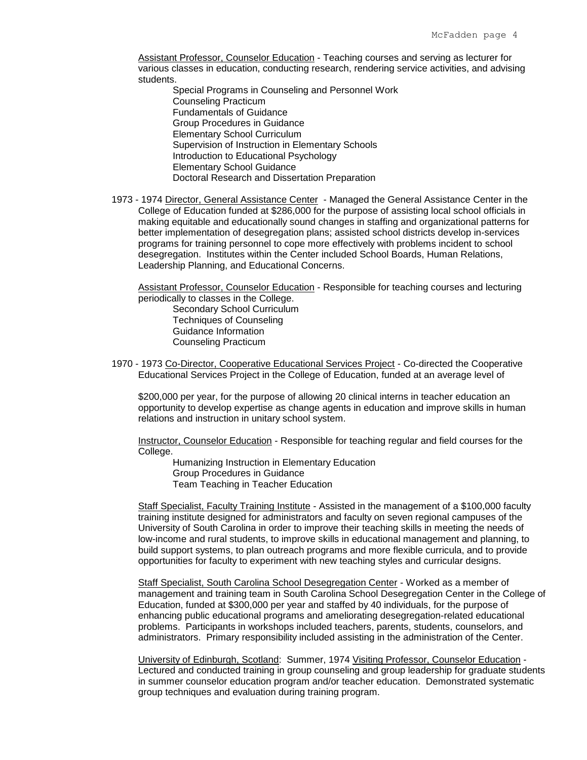Assistant Professor, Counselor Education - Teaching courses and serving as lecturer for various classes in education, conducting research, rendering service activities, and advising students.

Special Programs in Counseling and Personnel Work Counseling Practicum Fundamentals of Guidance Group Procedures in Guidance Elementary School Curriculum Supervision of Instruction in Elementary Schools Introduction to Educational Psychology Elementary School Guidance Doctoral Research and Dissertation Preparation

 1973 - 1974 Director, General Assistance Center - Managed the General Assistance Center in the College of Education funded at \$286,000 for the purpose of assisting local school officials in making equitable and educationally sound changes in staffing and organizational patterns for better implementation of desegregation plans; assisted school districts develop in-services programs for training personnel to cope more effectively with problems incident to school desegregation. Institutes within the Center included School Boards, Human Relations, Leadership Planning, and Educational Concerns.

Assistant Professor, Counselor Education - Responsible for teaching courses and lecturing periodically to classes in the College.

Secondary School Curriculum Techniques of Counseling Guidance Information Counseling Practicum

 1970 - 1973 Co-Director, Cooperative Educational Services Project - Co-directed the Cooperative Educational Services Project in the College of Education, funded at an average level of

\$200,000 per year, for the purpose of allowing 20 clinical interns in teacher education an opportunity to develop expertise as change agents in education and improve skills in human relations and instruction in unitary school system.

Instructor, Counselor Education - Responsible for teaching regular and field courses for the College.

Humanizing Instruction in Elementary Education Group Procedures in Guidance Team Teaching in Teacher Education

Staff Specialist, Faculty Training Institute - Assisted in the management of a \$100,000 faculty training institute designed for administrators and faculty on seven regional campuses of the University of South Carolina in order to improve their teaching skills in meeting the needs of low-income and rural students, to improve skills in educational management and planning, to build support systems, to plan outreach programs and more flexible curricula, and to provide opportunities for faculty to experiment with new teaching styles and curricular designs.

Staff Specialist, South Carolina School Desegregation Center - Worked as a member of management and training team in South Carolina School Desegregation Center in the College of Education, funded at \$300,000 per year and staffed by 40 individuals, for the purpose of enhancing public educational programs and ameliorating desegregation-related educational problems. Participants in workshops included teachers, parents, students, counselors, and administrators. Primary responsibility included assisting in the administration of the Center.

University of Edinburgh, Scotland: Summer, 1974 Visiting Professor, Counselor Education - Lectured and conducted training in group counseling and group leadership for graduate students in summer counselor education program and/or teacher education. Demonstrated systematic group techniques and evaluation during training program.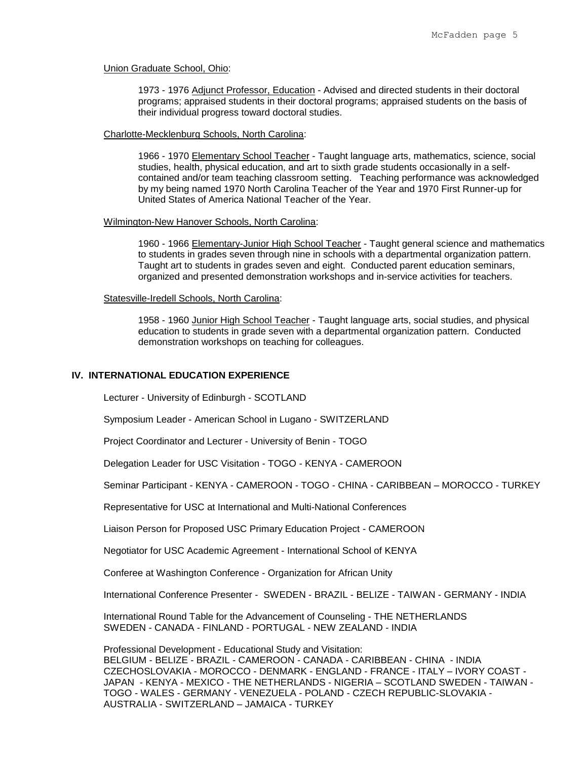#### Union Graduate School, Ohio:

1973 - 1976 Adjunct Professor, Education - Advised and directed students in their doctoral programs; appraised students in their doctoral programs; appraised students on the basis of their individual progress toward doctoral studies.

## Charlotte-Mecklenburg Schools, North Carolina:

1966 - 1970 Elementary School Teacher - Taught language arts, mathematics, science, social studies, health, physical education, and art to sixth grade students occasionally in a selfcontained and/or team teaching classroom setting. Teaching performance was acknowledged by my being named 1970 North Carolina Teacher of the Year and 1970 First Runner-up for United States of America National Teacher of the Year.

## Wilmington-New Hanover Schools, North Carolina:

1960 - 1966 Elementary-Junior High School Teacher - Taught general science and mathematics to students in grades seven through nine in schools with a departmental organization pattern. Taught art to students in grades seven and eight. Conducted parent education seminars, organized and presented demonstration workshops and in-service activities for teachers.

## Statesville-Iredell Schools, North Carolina:

 1958 - 1960 Junior High School Teacher - Taught language arts, social studies, and physical education to students in grade seven with a departmental organization pattern. Conducted demonstration workshops on teaching for colleagues.

#### **IV. INTERNATIONAL EDUCATION EXPERIENCE**

Lecturer - University of Edinburgh - SCOTLAND

Symposium Leader - American School in Lugano - SWITZERLAND

Project Coordinator and Lecturer - University of Benin - TOGO

Delegation Leader for USC Visitation - TOGO - KENYA - CAMEROON

Seminar Participant - KENYA - CAMEROON - TOGO - CHINA - CARIBBEAN – MOROCCO - TURKEY

Representative for USC at International and Multi-National Conferences

Liaison Person for Proposed USC Primary Education Project - CAMEROON

Negotiator for USC Academic Agreement - International School of KENYA

Conferee at Washington Conference - Organization for African Unity

International Conference Presenter - SWEDEN - BRAZIL - BELIZE - TAIWAN - GERMANY - INDIA

International Round Table for the Advancement of Counseling - THE NETHERLANDS SWEDEN - CANADA - FINLAND - PORTUGAL - NEW ZEALAND - INDIA

Professional Development - Educational Study and Visitation: BELGIUM - BELIZE - BRAZIL - CAMEROON - CANADA - CARIBBEAN - CHINA - INDIA CZECHOSLOVAKIA - MOROCCO - DENMARK - ENGLAND - FRANCE - ITALY – IVORY COAST - JAPAN - KENYA - MEXICO - THE NETHERLANDS - NIGERIA – SCOTLAND SWEDEN - TAIWAN - TOGO - WALES - GERMANY - VENEZUELA - POLAND - CZECH REPUBLIC-SLOVAKIA - AUSTRALIA - SWITZERLAND – JAMAICA - TURKEY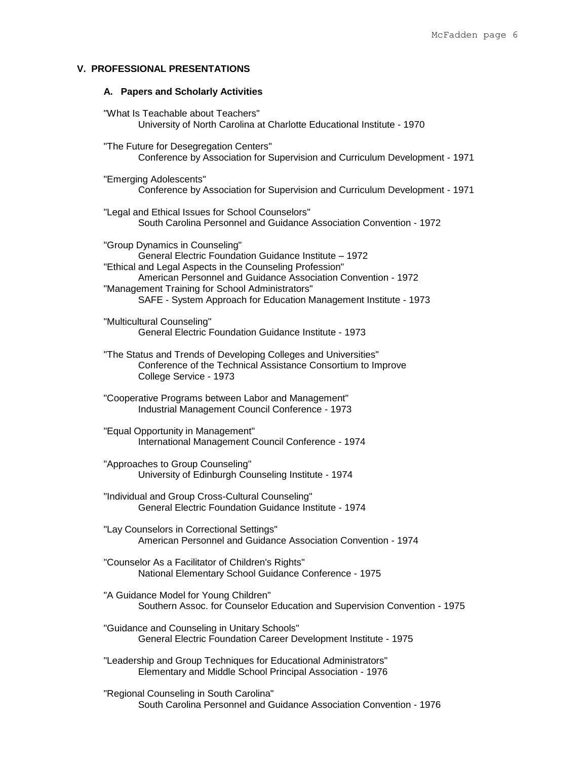# **V. PROFESSIONAL PRESENTATIONS**

# **A. Papers and Scholarly Activities**

| "What Is Teachable about Teachers"<br>University of North Carolina at Charlotte Educational Institute - 1970                                                                                                                                                                                                                                |
|---------------------------------------------------------------------------------------------------------------------------------------------------------------------------------------------------------------------------------------------------------------------------------------------------------------------------------------------|
| "The Future for Desegregation Centers"<br>Conference by Association for Supervision and Curriculum Development - 1971                                                                                                                                                                                                                       |
| "Emerging Adolescents"<br>Conference by Association for Supervision and Curriculum Development - 1971                                                                                                                                                                                                                                       |
| "Legal and Ethical Issues for School Counselors"<br>South Carolina Personnel and Guidance Association Convention - 1972                                                                                                                                                                                                                     |
| "Group Dynamics in Counseling"<br>General Electric Foundation Guidance Institute - 1972<br>"Ethical and Legal Aspects in the Counseling Profession"<br>American Personnel and Guidance Association Convention - 1972<br>"Management Training for School Administrators"<br>SAFE - System Approach for Education Management Institute - 1973 |
| "Multicultural Counseling"<br>General Electric Foundation Guidance Institute - 1973                                                                                                                                                                                                                                                         |
| "The Status and Trends of Developing Colleges and Universities"<br>Conference of the Technical Assistance Consortium to Improve<br>College Service - 1973                                                                                                                                                                                   |
| "Cooperative Programs between Labor and Management"<br>Industrial Management Council Conference - 1973                                                                                                                                                                                                                                      |
| "Equal Opportunity in Management"<br>International Management Council Conference - 1974                                                                                                                                                                                                                                                     |
| "Approaches to Group Counseling"<br>University of Edinburgh Counseling Institute - 1974                                                                                                                                                                                                                                                     |
| "Individual and Group Cross-Cultural Counseling"<br>General Electric Foundation Guidance Institute - 1974                                                                                                                                                                                                                                   |
| "Lay Counselors in Correctional Settings"<br>American Personnel and Guidance Association Convention - 1974                                                                                                                                                                                                                                  |
| "Counselor As a Facilitator of Children's Rights"<br>National Elementary School Guidance Conference - 1975                                                                                                                                                                                                                                  |
| "A Guidance Model for Young Children"<br>Southern Assoc. for Counselor Education and Supervision Convention - 1975                                                                                                                                                                                                                          |
| "Guidance and Counseling in Unitary Schools"<br>General Electric Foundation Career Development Institute - 1975                                                                                                                                                                                                                             |
| "Leadership and Group Techniques for Educational Administrators"<br>Elementary and Middle School Principal Association - 1976                                                                                                                                                                                                               |
| "Regional Counseling in South Carolina"<br>South Carolina Personnel and Guidance Association Convention - 1976                                                                                                                                                                                                                              |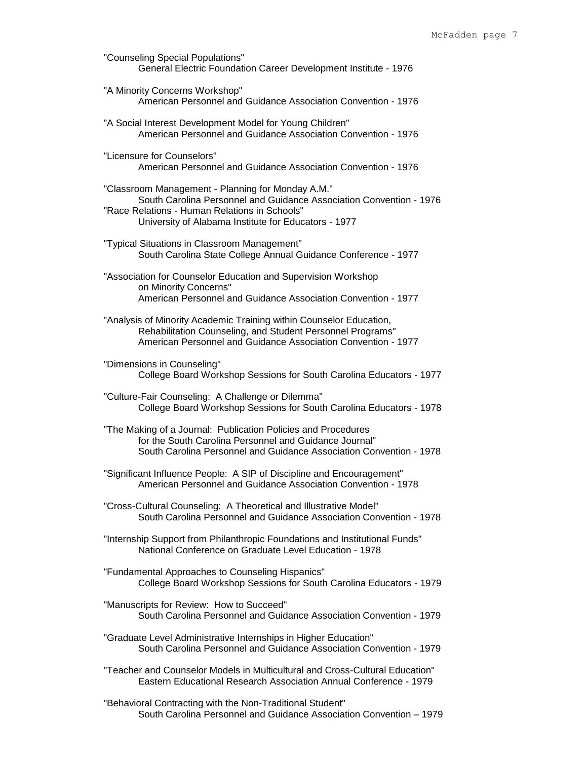|                                                                                                                                                                                                                                   | Мc |
|-----------------------------------------------------------------------------------------------------------------------------------------------------------------------------------------------------------------------------------|----|
| "Counseling Special Populations"<br>General Electric Foundation Career Development Institute - 1976                                                                                                                               |    |
| "A Minority Concerns Workshop"<br>American Personnel and Guidance Association Convention - 1976                                                                                                                                   |    |
| "A Social Interest Development Model for Young Children"<br>American Personnel and Guidance Association Convention - 1976                                                                                                         |    |
| "Licensure for Counselors"<br>American Personnel and Guidance Association Convention - 1976                                                                                                                                       |    |
| "Classroom Management - Planning for Monday A.M."<br>South Carolina Personnel and Guidance Association Convention - 1976<br>"Race Relations - Human Relations in Schools"<br>University of Alabama Institute for Educators - 1977 |    |
| "Typical Situations in Classroom Management"<br>South Carolina State College Annual Guidance Conference - 1977                                                                                                                    |    |
| "Association for Counselor Education and Supervision Workshop<br>on Minority Concerns"<br>American Personnel and Guidance Association Convention - 1977                                                                           |    |

- "Analysis of Minority Academic Training within Counselor Education, Rehabilitation Counseling, and Student Personnel Programs" American Personnel and Guidance Association Convention - 1977
- "Dimensions in Counseling" College Board Workshop Sessions for South Carolina Educators - 1977
- "Culture-Fair Counseling: A Challenge or Dilemma" College Board Workshop Sessions for South Carolina Educators - 1978
- "The Making of a Journal: Publication Policies and Procedures for the South Carolina Personnel and Guidance Journal" South Carolina Personnel and Guidance Association Convention - 1978
- "Significant Influence People: A SIP of Discipline and Encouragement" American Personnel and Guidance Association Convention - 1978
- "Cross-Cultural Counseling: A Theoretical and Illustrative Model" South Carolina Personnel and Guidance Association Convention - 1978
- "Internship Support from Philanthropic Foundations and Institutional Funds" National Conference on Graduate Level Education - 1978
- "Fundamental Approaches to Counseling Hispanics" College Board Workshop Sessions for South Carolina Educators - 1979
- "Manuscripts for Review: How to Succeed" South Carolina Personnel and Guidance Association Convention - 1979
- "Graduate Level Administrative Internships in Higher Education" South Carolina Personnel and Guidance Association Convention - 1979
- "Teacher and Counselor Models in Multicultural and Cross-Cultural Education" Eastern Educational Research Association Annual Conference - 1979
- "Behavioral Contracting with the Non-Traditional Student" South Carolina Personnel and Guidance Association Convention – 1979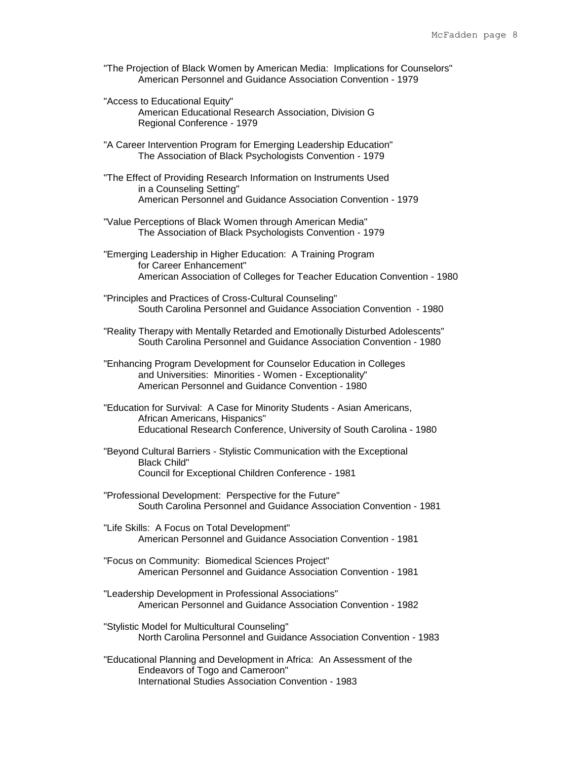- "The Projection of Black Women by American Media: Implications for Counselors" American Personnel and Guidance Association Convention - 1979
- "Access to Educational Equity" American Educational Research Association, Division G Regional Conference - 1979
- "A Career Intervention Program for Emerging Leadership Education" The Association of Black Psychologists Convention - 1979
- "The Effect of Providing Research Information on Instruments Used in a Counseling Setting" American Personnel and Guidance Association Convention - 1979
- "Value Perceptions of Black Women through American Media" The Association of Black Psychologists Convention - 1979
- "Emerging Leadership in Higher Education: A Training Program for Career Enhancement" American Association of Colleges for Teacher Education Convention - 1980
- "Principles and Practices of Cross-Cultural Counseling" South Carolina Personnel and Guidance Association Convention - 1980
- "Reality Therapy with Mentally Retarded and Emotionally Disturbed Adolescents" South Carolina Personnel and Guidance Association Convention - 1980
- "Enhancing Program Development for Counselor Education in Colleges and Universities: Minorities - Women - Exceptionality" American Personnel and Guidance Convention - 1980
- "Education for Survival: A Case for Minority Students Asian Americans, African Americans, Hispanics" Educational Research Conference, University of South Carolina - 1980
- "Beyond Cultural Barriers Stylistic Communication with the Exceptional Black Child" Council for Exceptional Children Conference - 1981
- "Professional Development: Perspective for the Future" South Carolina Personnel and Guidance Association Convention - 1981
- "Life Skills: A Focus on Total Development" American Personnel and Guidance Association Convention - 1981
- "Focus on Community: Biomedical Sciences Project" American Personnel and Guidance Association Convention - 1981
- "Leadership Development in Professional Associations" American Personnel and Guidance Association Convention - 1982
- "Stylistic Model for Multicultural Counseling" North Carolina Personnel and Guidance Association Convention - 1983
- "Educational Planning and Development in Africa: An Assessment of the Endeavors of Togo and Cameroon" International Studies Association Convention - 1983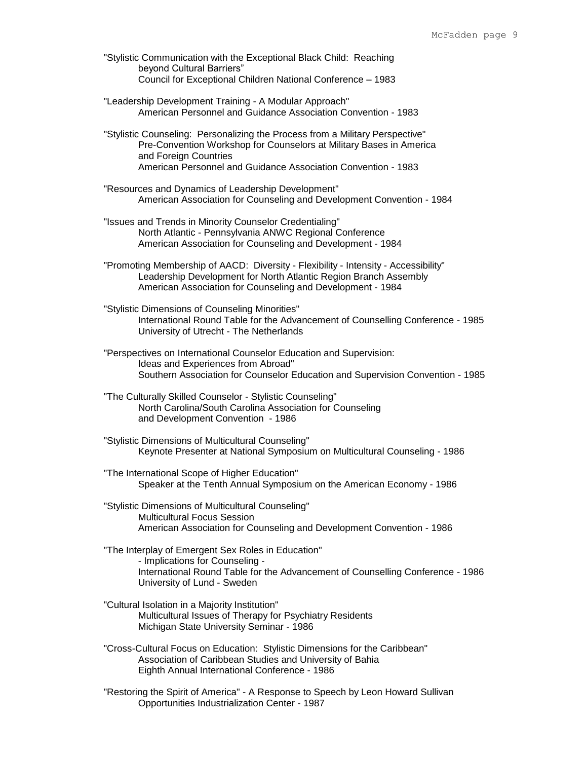- "Stylistic Communication with the Exceptional Black Child: Reaching beyond Cultural Barriers" Council for Exceptional Children National Conference – 1983
- "Leadership Development Training A Modular Approach" American Personnel and Guidance Association Convention - 1983
- "Stylistic Counseling: Personalizing the Process from a Military Perspective" Pre-Convention Workshop for Counselors at Military Bases in America and Foreign Countries American Personnel and Guidance Association Convention - 1983
- "Resources and Dynamics of Leadership Development" American Association for Counseling and Development Convention - 1984
- "Issues and Trends in Minority Counselor Credentialing" North Atlantic - Pennsylvania ANWC Regional Conference American Association for Counseling and Development - 1984
- "Promoting Membership of AACD: Diversity Flexibility Intensity Accessibility" Leadership Development for North Atlantic Region Branch Assembly American Association for Counseling and Development - 1984
- "Stylistic Dimensions of Counseling Minorities" International Round Table for the Advancement of Counselling Conference - 1985 University of Utrecht - The Netherlands
- "Perspectives on International Counselor Education and Supervision: Ideas and Experiences from Abroad" Southern Association for Counselor Education and Supervision Convention - 1985
- "The Culturally Skilled Counselor Stylistic Counseling" North Carolina/South Carolina Association for Counseling and Development Convention - 1986
- "Stylistic Dimensions of Multicultural Counseling" Keynote Presenter at National Symposium on Multicultural Counseling - 1986
- "The International Scope of Higher Education" Speaker at the Tenth Annual Symposium on the American Economy - 1986
- "Stylistic Dimensions of Multicultural Counseling" Multicultural Focus Session American Association for Counseling and Development Convention - 1986
- "The Interplay of Emergent Sex Roles in Education" - Implications for Counseling - International Round Table for the Advancement of Counselling Conference - 1986 University of Lund - Sweden
- "Cultural Isolation in a Majority Institution" Multicultural Issues of Therapy for Psychiatry Residents Michigan State University Seminar - 1986
- "Cross-Cultural Focus on Education: Stylistic Dimensions for the Caribbean" Association of Caribbean Studies and University of Bahia Eighth Annual International Conference - 1986
- "Restoring the Spirit of America" A Response to Speech by Leon Howard Sullivan Opportunities Industrialization Center - 1987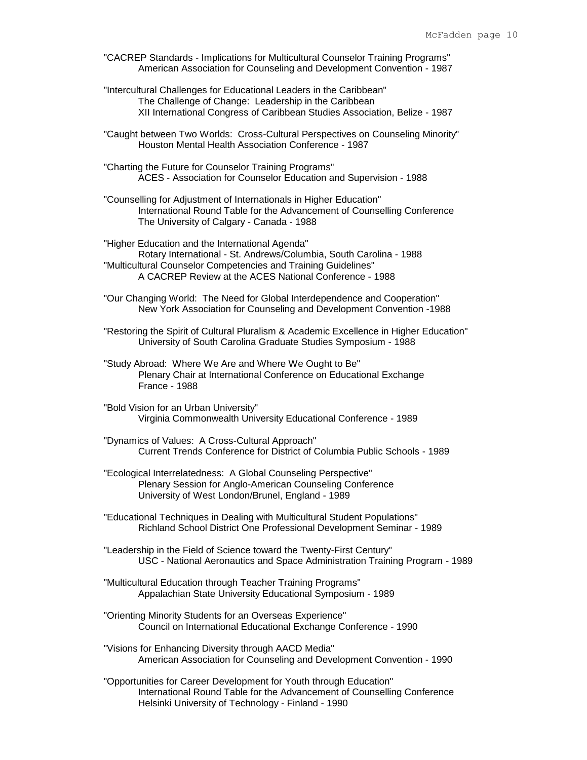- "CACREP Standards Implications for Multicultural Counselor Training Programs" American Association for Counseling and Development Convention - 1987
- "Intercultural Challenges for Educational Leaders in the Caribbean" The Challenge of Change: Leadership in the Caribbean XII International Congress of Caribbean Studies Association, Belize - 1987
- "Caught between Two Worlds: Cross-Cultural Perspectives on Counseling Minority" Houston Mental Health Association Conference - 1987
- "Charting the Future for Counselor Training Programs" ACES - Association for Counselor Education and Supervision - 1988
- "Counselling for Adjustment of Internationals in Higher Education" International Round Table for the Advancement of Counselling Conference The University of Calgary - Canada - 1988
- "Higher Education and the International Agenda" Rotary International - St. Andrews/Columbia, South Carolina - 1988 "Multicultural Counselor Competencies and Training Guidelines" A CACREP Review at the ACES National Conference - 1988
- "Our Changing World: The Need for Global Interdependence and Cooperation" New York Association for Counseling and Development Convention -1988
- "Restoring the Spirit of Cultural Pluralism & Academic Excellence in Higher Education" University of South Carolina Graduate Studies Symposium - 1988
- "Study Abroad: Where We Are and Where We Ought to Be" Plenary Chair at International Conference on Educational Exchange France - 1988
- "Bold Vision for an Urban University" Virginia Commonwealth University Educational Conference - 1989
- "Dynamics of Values: A Cross-Cultural Approach" Current Trends Conference for District of Columbia Public Schools - 1989
- "Ecological Interrelatedness: A Global Counseling Perspective" Plenary Session for Anglo-American Counseling Conference University of West London/Brunel, England - 1989
- "Educational Techniques in Dealing with Multicultural Student Populations" Richland School District One Professional Development Seminar - 1989
- "Leadership in the Field of Science toward the Twenty-First Century" USC - National Aeronautics and Space Administration Training Program - 1989
- "Multicultural Education through Teacher Training Programs" Appalachian State University Educational Symposium - 1989
- "Orienting Minority Students for an Overseas Experience" Council on International Educational Exchange Conference - 1990
- "Visions for Enhancing Diversity through AACD Media" American Association for Counseling and Development Convention - 1990
- "Opportunities for Career Development for Youth through Education" International Round Table for the Advancement of Counselling Conference Helsinki University of Technology - Finland - 1990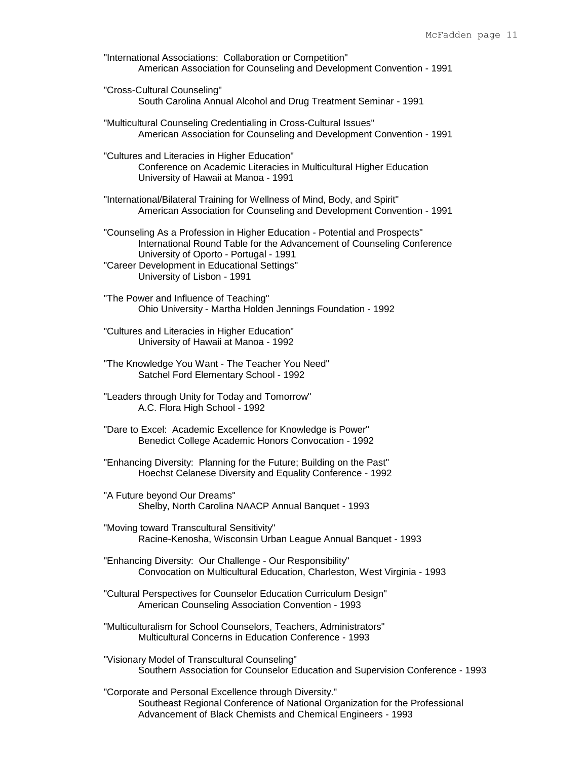"International Associations: Collaboration or Competition" American Association for Counseling and Development Convention - 1991

"Cross-Cultural Counseling" South Carolina Annual Alcohol and Drug Treatment Seminar - 1991

"Multicultural Counseling Credentialing in Cross-Cultural Issues" American Association for Counseling and Development Convention - 1991

"Cultures and Literacies in Higher Education" Conference on Academic Literacies in Multicultural Higher Education University of Hawaii at Manoa - 1991

"International/Bilateral Training for Wellness of Mind, Body, and Spirit" American Association for Counseling and Development Convention - 1991

"Counseling As a Profession in Higher Education - Potential and Prospects" International Round Table for the Advancement of Counseling Conference University of Oporto - Portugal - 1991 "Career Development in Educational Settings" University of Lisbon - 1991

"The Power and Influence of Teaching" Ohio University - Martha Holden Jennings Foundation - 1992

"Cultures and Literacies in Higher Education" University of Hawaii at Manoa - 1992

"The Knowledge You Want - The Teacher You Need" Satchel Ford Elementary School - 1992

"Leaders through Unity for Today and Tomorrow" A.C. Flora High School - 1992

"Dare to Excel: Academic Excellence for Knowledge is Power" Benedict College Academic Honors Convocation - 1992

"Enhancing Diversity: Planning for the Future; Building on the Past" Hoechst Celanese Diversity and Equality Conference - 1992

"A Future beyond Our Dreams" Shelby, North Carolina NAACP Annual Banquet - 1993

"Moving toward Transcultural Sensitivity" Racine-Kenosha, Wisconsin Urban League Annual Banquet - 1993

"Enhancing Diversity: Our Challenge - Our Responsibility" Convocation on Multicultural Education, Charleston, West Virginia - 1993

"Cultural Perspectives for Counselor Education Curriculum Design" American Counseling Association Convention - 1993

"Multiculturalism for School Counselors, Teachers, Administrators" Multicultural Concerns in Education Conference - 1993

"Visionary Model of Transcultural Counseling" Southern Association for Counselor Education and Supervision Conference - 1993

"Corporate and Personal Excellence through Diversity." Southeast Regional Conference of National Organization for the Professional Advancement of Black Chemists and Chemical Engineers - 1993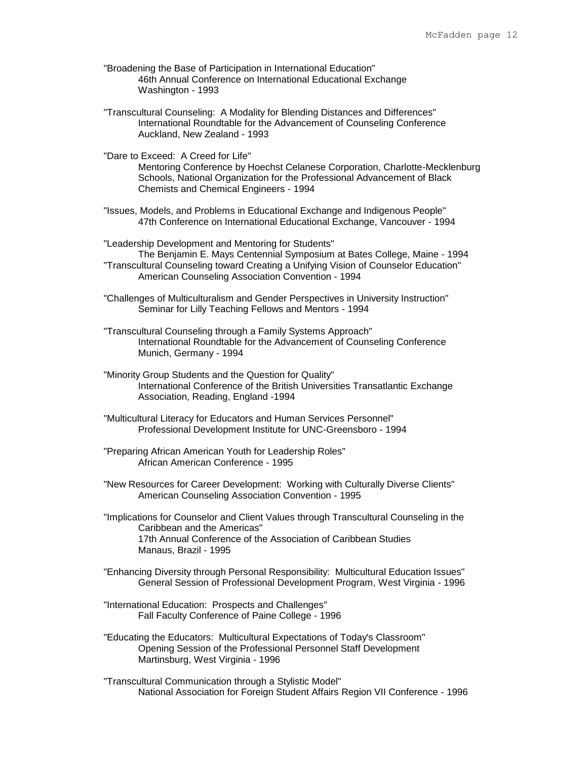- "Broadening the Base of Participation in International Education" 46th Annual Conference on International Educational Exchange Washington - 1993
- "Transcultural Counseling: A Modality for Blending Distances and Differences" International Roundtable for the Advancement of Counseling Conference Auckland, New Zealand - 1993
- "Dare to Exceed: A Creed for Life" Mentoring Conference by Hoechst Celanese Corporation, Charlotte-Mecklenburg Schools, National Organization for the Professional Advancement of Black Chemists and Chemical Engineers - 1994
- "Issues, Models, and Problems in Educational Exchange and Indigenous People" 47th Conference on International Educational Exchange, Vancouver - 1994
- "Leadership Development and Mentoring for Students" The Benjamin E. Mays Centennial Symposium at Bates College, Maine - 1994 "Transcultural Counseling toward Creating a Unifying Vision of Counselor Education" American Counseling Association Convention - 1994
- "Challenges of Multiculturalism and Gender Perspectives in University Instruction" Seminar for Lilly Teaching Fellows and Mentors - 1994
- "Transcultural Counseling through a Family Systems Approach" International Roundtable for the Advancement of Counseling Conference Munich, Germany - 1994
- "Minority Group Students and the Question for Quality" International Conference of the British Universities Transatlantic Exchange Association, Reading, England -1994
- "Multicultural Literacy for Educators and Human Services Personnel" Professional Development Institute for UNC-Greensboro - 1994
- "Preparing African American Youth for Leadership Roles" African American Conference - 1995
- "New Resources for Career Development: Working with Culturally Diverse Clients" American Counseling Association Convention - 1995
- "Implications for Counselor and Client Values through Transcultural Counseling in the Caribbean and the Americas" 17th Annual Conference of the Association of Caribbean Studies Manaus, Brazil - 1995
- "Enhancing Diversity through Personal Responsibility: Multicultural Education Issues" General Session of Professional Development Program, West Virginia - 1996
- "International Education: Prospects and Challenges" Fall Faculty Conference of Paine College - 1996
- "Educating the Educators: Multicultural Expectations of Today's Classroom" Opening Session of the Professional Personnel Staff Development Martinsburg, West Virginia - 1996
- "Transcultural Communication through a Stylistic Model" National Association for Foreign Student Affairs Region VII Conference - 1996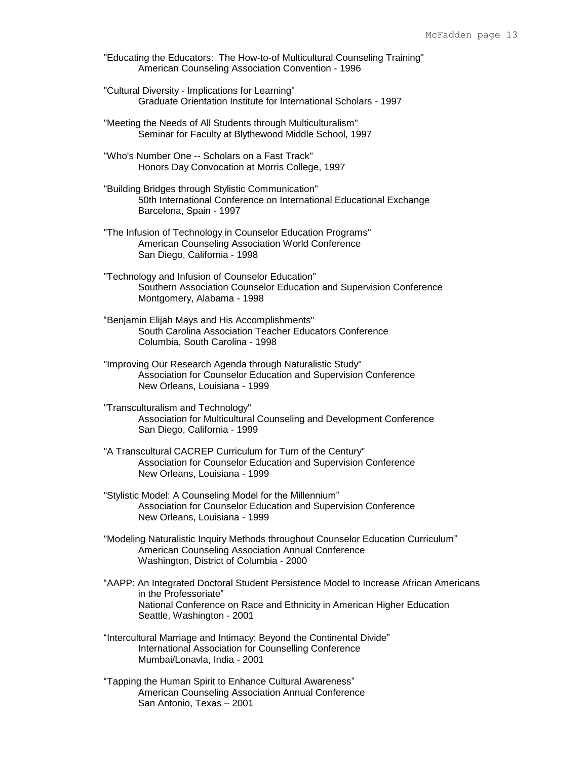"Educating the Educators: The How-to-of Multicultural Counseling Training" American Counseling Association Convention - 1996

"Cultural Diversity - Implications for Learning" Graduate Orientation Institute for International Scholars - 1997

"Meeting the Needs of All Students through Multiculturalism" Seminar for Faculty at Blythewood Middle School, 1997

- "Who's Number One -- Scholars on a Fast Track" Honors Day Convocation at Morris College, 1997
- "Building Bridges through Stylistic Communication" 50th International Conference on International Educational Exchange Barcelona, Spain - 1997
- "The Infusion of Technology in Counselor Education Programs" American Counseling Association World Conference San Diego, California - 1998
- "Technology and Infusion of Counselor Education" Southern Association Counselor Education and Supervision Conference Montgomery, Alabama - 1998
- "Benjamin Elijah Mays and His Accomplishments" South Carolina Association Teacher Educators Conference Columbia, South Carolina - 1998
- "Improving Our Research Agenda through Naturalistic Study" Association for Counselor Education and Supervision Conference New Orleans, Louisiana - 1999
- "Transculturalism and Technology" Association for Multicultural Counseling and Development Conference San Diego, California - 1999
- "A Transcultural CACREP Curriculum for Turn of the Century" Association for Counselor Education and Supervision Conference New Orleans, Louisiana - 1999
- "Stylistic Model: A Counseling Model for the Millennium" Association for Counselor Education and Supervision Conference New Orleans, Louisiana - 1999
- "Modeling Naturalistic Inquiry Methods throughout Counselor Education Curriculum" American Counseling Association Annual Conference Washington, District of Columbia - 2000
- "AAPP: An Integrated Doctoral Student Persistence Model to Increase African Americans in the Professoriate" National Conference on Race and Ethnicity in American Higher Education Seattle, Washington - 2001
- "Intercultural Marriage and Intimacy: Beyond the Continental Divide" International Association for Counselling Conference Mumbai/Lonavla, India - 2001
- "Tapping the Human Spirit to Enhance Cultural Awareness" American Counseling Association Annual Conference San Antonio, Texas – 2001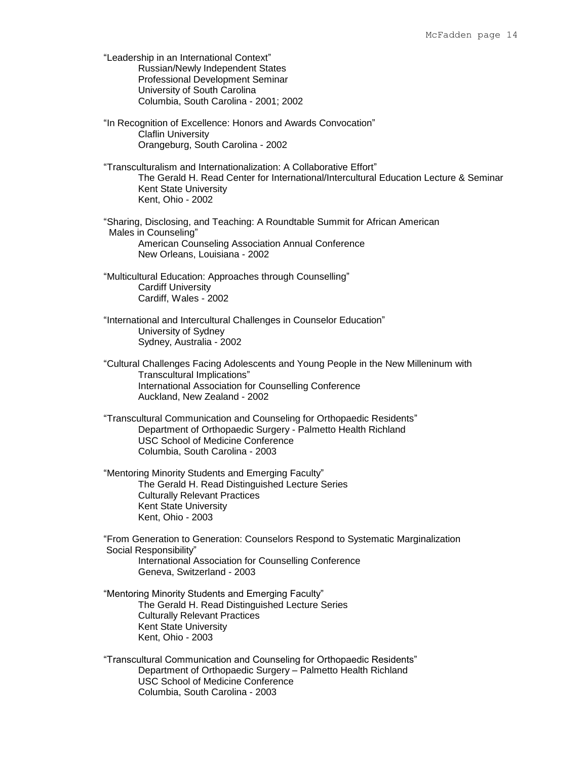"Leadership in an International Context" Russian/Newly Independent States Professional Development Seminar University of South Carolina Columbia, South Carolina - 2001; 2002 "In Recognition of Excellence: Honors and Awards Convocation" Claflin University Orangeburg, South Carolina - 2002 "Transculturalism and Internationalization: A Collaborative Effort" The Gerald H. Read Center for International/Intercultural Education Lecture & Seminar Kent State University Kent, Ohio - 2002 "Sharing, Disclosing, and Teaching: A Roundtable Summit for African American Males in Counseling" American Counseling Association Annual Conference New Orleans, Louisiana - 2002 "Multicultural Education: Approaches through Counselling" Cardiff University Cardiff, Wales - 2002 "International and Intercultural Challenges in Counselor Education" University of Sydney Sydney, Australia - 2002 "Cultural Challenges Facing Adolescents and Young People in the New Milleninum with Transcultural Implications" International Association for Counselling Conference Auckland, New Zealand - 2002 "Transcultural Communication and Counseling for Orthopaedic Residents" Department of Orthopaedic Surgery - Palmetto Health Richland USC School of Medicine Conference Columbia, South Carolina - 2003 "Mentoring Minority Students and Emerging Faculty" The Gerald H. Read Distinguished Lecture Series Culturally Relevant Practices Kent State University Kent, Ohio - 2003 "From Generation to Generation: Counselors Respond to Systematic Marginalization Social Responsibility" International Association for Counselling Conference Geneva, Switzerland - 2003 "Mentoring Minority Students and Emerging Faculty" The Gerald H. Read Distinguished Lecture Series Culturally Relevant Practices Kent State University Kent, Ohio - 2003 "Transcultural Communication and Counseling for Orthopaedic Residents" Department of Orthopaedic Surgery – Palmetto Health Richland USC School of Medicine Conference

Columbia, South Carolina - 2003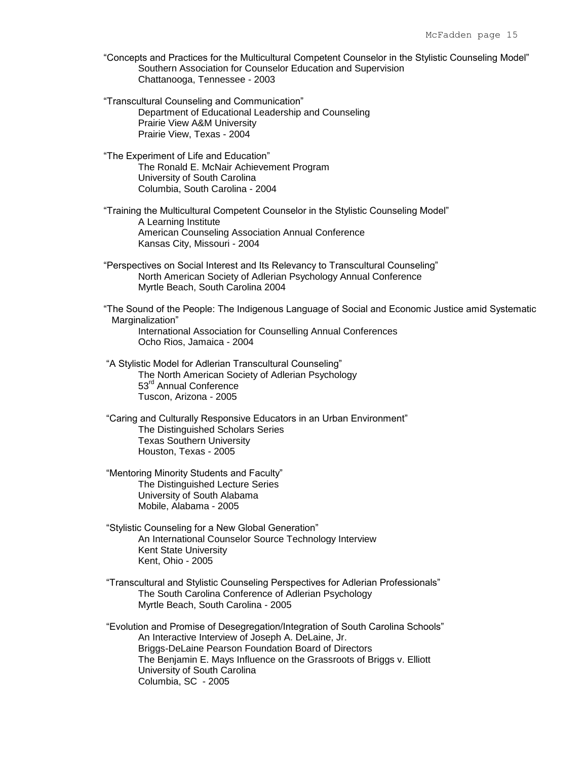- "Concepts and Practices for the Multicultural Competent Counselor in the Stylistic Counseling Model" Southern Association for Counselor Education and Supervision Chattanooga, Tennessee - 2003
- "Transcultural Counseling and Communication" Department of Educational Leadership and Counseling Prairie View A&M University Prairie View, Texas - 2004
- "The Experiment of Life and Education" The Ronald E. McNair Achievement Program University of South Carolina Columbia, South Carolina - 2004
- "Training the Multicultural Competent Counselor in the Stylistic Counseling Model" A Learning Institute American Counseling Association Annual Conference Kansas City, Missouri - 2004
- "Perspectives on Social Interest and Its Relevancy to Transcultural Counseling" North American Society of Adlerian Psychology Annual Conference Myrtle Beach, South Carolina 2004

"The Sound of the People: The Indigenous Language of Social and Economic Justice amid Systematic Marginalization"

International Association for Counselling Annual Conferences Ocho Rios, Jamaica - 2004

- "A Stylistic Model for Adlerian Transcultural Counseling" The North American Society of Adlerian Psychology 53<sup>rd</sup> Annual Conference Tuscon, Arizona - 2005
- "Caring and Culturally Responsive Educators in an Urban Environment" The Distinguished Scholars Series Texas Southern University Houston, Texas - 2005
- "Mentoring Minority Students and Faculty" The Distinguished Lecture Series University of South Alabama Mobile, Alabama - 2005
- "Stylistic Counseling for a New Global Generation" An International Counselor Source Technology Interview Kent State University Kent, Ohio - 2005
- "Transcultural and Stylistic Counseling Perspectives for Adlerian Professionals" The South Carolina Conference of Adlerian Psychology Myrtle Beach, South Carolina - 2005

"Evolution and Promise of Desegregation/Integration of South Carolina Schools" An Interactive Interview of Joseph A. DeLaine, Jr. Briggs-DeLaine Pearson Foundation Board of Directors The Benjamin E. Mays Influence on the Grassroots of Briggs v. Elliott University of South Carolina Columbia, SC - 2005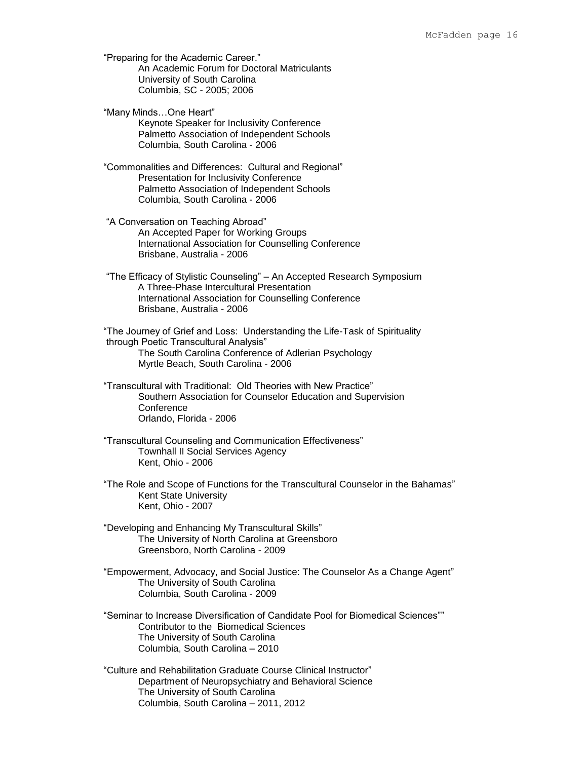"Preparing for the Academic Career." An Academic Forum for Doctoral Matriculants University of South Carolina Columbia, SC - 2005; 2006

"Many Minds…One Heart" Keynote Speaker for Inclusivity Conference Palmetto Association of Independent Schools Columbia, South Carolina - 2006

"Commonalities and Differences: Cultural and Regional" Presentation for Inclusivity Conference Palmetto Association of Independent Schools Columbia, South Carolina - 2006

"A Conversation on Teaching Abroad" An Accepted Paper for Working Groups International Association for Counselling Conference Brisbane, Australia - 2006

"The Efficacy of Stylistic Counseling" – An Accepted Research Symposium A Three-Phase Intercultural Presentation International Association for Counselling Conference Brisbane, Australia - 2006

"The Journey of Grief and Loss: Understanding the Life-Task of Spirituality through Poetic Transcultural Analysis" The South Carolina Conference of Adlerian Psychology Myrtle Beach, South Carolina - 2006

"Transcultural with Traditional: Old Theories with New Practice" Southern Association for Counselor Education and Supervision **Conference** Orlando, Florida - 2006

"Transcultural Counseling and Communication Effectiveness" Townhall II Social Services Agency Kent, Ohio - 2006

"The Role and Scope of Functions for the Transcultural Counselor in the Bahamas" Kent State University Kent, Ohio - 2007

"Developing and Enhancing My Transcultural Skills" The University of North Carolina at Greensboro Greensboro, North Carolina - 2009

"Empowerment, Advocacy, and Social Justice: The Counselor As a Change Agent" The University of South Carolina Columbia, South Carolina - 2009

"Seminar to Increase Diversification of Candidate Pool for Biomedical Sciences"" Contributor to the Biomedical Sciences The University of South Carolina Columbia, South Carolina – 2010

"Culture and Rehabilitation Graduate Course Clinical Instructor" Department of Neuropsychiatry and Behavioral Science The University of South Carolina Columbia, South Carolina – 2011, 2012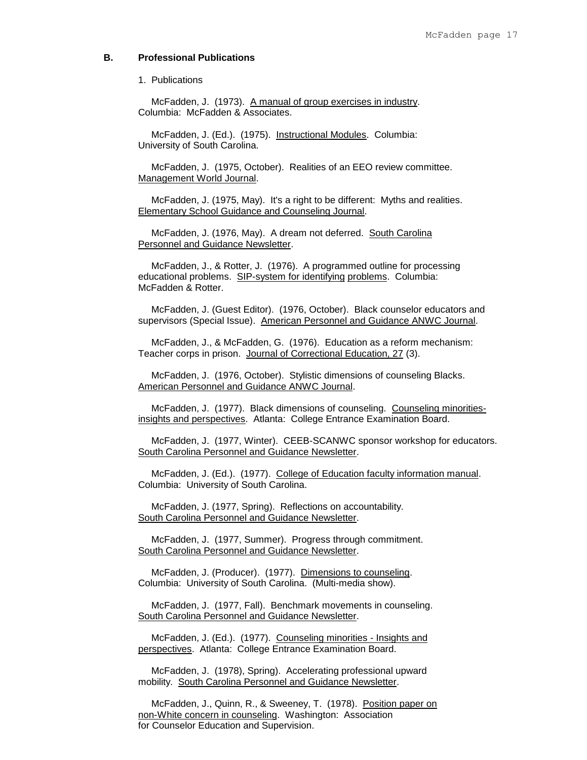# **B. Professional Publications**

### 1. Publications

 McFadden, J. (1973). A manual of group exercises in industry. Columbia: McFadden & Associates.

 McFadden, J. (Ed.). (1975). Instructional Modules. Columbia: University of South Carolina.

 McFadden, J. (1975, October). Realities of an EEO review committee. Management World Journal.

 McFadden, J. (1975, May). It's a right to be different: Myths and realities. Elementary School Guidance and Counseling Journal.

 McFadden, J. (1976, May). A dream not deferred. South Carolina Personnel and Guidance Newsletter.

 McFadden, J., & Rotter, J. (1976). A programmed outline for processing educational problems. SIP-system for identifying problems. Columbia: McFadden & Rotter.

 McFadden, J. (Guest Editor). (1976, October). Black counselor educators and supervisors (Special Issue). American Personnel and Guidance ANWC Journal.

 McFadden, J., & McFadden, G. (1976). Education as a reform mechanism: Teacher corps in prison. Journal of Correctional Education, 27 (3).

 McFadden, J. (1976, October). Stylistic dimensions of counseling Blacks. American Personnel and Guidance ANWC Journal.

 McFadden, J. (1977). Black dimensions of counseling. Counseling minoritiesinsights and perspectives. Atlanta: College Entrance Examination Board.

 McFadden, J. (1977, Winter). CEEB-SCANWC sponsor workshop for educators. South Carolina Personnel and Guidance Newsletter.

 McFadden, J. (Ed.). (1977). College of Education faculty information manual. Columbia: University of South Carolina.

 McFadden, J. (1977, Spring). Reflections on accountability. South Carolina Personnel and Guidance Newsletter.

 McFadden, J. (1977, Summer). Progress through commitment. South Carolina Personnel and Guidance Newsletter.

 McFadden, J. (Producer). (1977). Dimensions to counseling. Columbia: University of South Carolina. (Multi-media show).

 McFadden, J. (1977, Fall). Benchmark movements in counseling. South Carolina Personnel and Guidance Newsletter.

 McFadden, J. (Ed.). (1977). Counseling minorities - Insights and perspectives. Atlanta: College Entrance Examination Board.

 McFadden, J. (1978), Spring). Accelerating professional upward mobility. South Carolina Personnel and Guidance Newsletter.

 McFadden, J., Quinn, R., & Sweeney, T. (1978). Position paper on non-White concern in counseling. Washington: Association for Counselor Education and Supervision.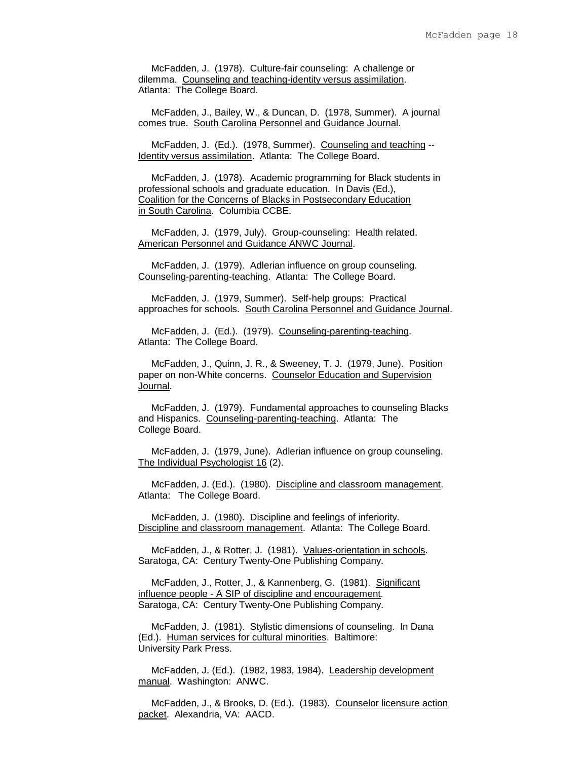McFadden, J. (1978). Culture-fair counseling: A challenge or dilemma. Counseling and teaching-identity versus assimilation. Atlanta: The College Board.

 McFadden, J., Bailey, W., & Duncan, D. (1978, Summer). A journal comes true. South Carolina Personnel and Guidance Journal.

 McFadden, J. (Ed.). (1978, Summer). Counseling and teaching -- Identity versus assimilation. Atlanta: The College Board.

 McFadden, J. (1978). Academic programming for Black students in professional schools and graduate education. In Davis (Ed.), Coalition for the Concerns of Blacks in Postsecondary Education in South Carolina. Columbia CCBE.

 McFadden, J. (1979, July). Group-counseling: Health related. American Personnel and Guidance ANWC Journal.

 McFadden, J. (1979). Adlerian influence on group counseling. Counseling-parenting-teaching. Atlanta: The College Board.

 McFadden, J. (1979, Summer). Self-help groups: Practical approaches for schools. South Carolina Personnel and Guidance Journal.

 McFadden, J. (Ed.). (1979). Counseling-parenting-teaching. Atlanta: The College Board.

 McFadden, J., Quinn, J. R., & Sweeney, T. J. (1979, June). Position paper on non-White concerns. Counselor Education and Supervision Journal.

 McFadden, J. (1979). Fundamental approaches to counseling Blacks and Hispanics. Counseling-parenting-teaching. Atlanta: The College Board.

 McFadden, J. (1979, June). Adlerian influence on group counseling. The Individual Psychologist 16 (2).

 McFadden, J. (Ed.). (1980). Discipline and classroom management. Atlanta: The College Board.

 McFadden, J. (1980). Discipline and feelings of inferiority. Discipline and classroom management. Atlanta: The College Board.

 McFadden, J., & Rotter, J. (1981). Values-orientation in schools. Saratoga, CA: Century Twenty-One Publishing Company.

 McFadden, J., Rotter, J., & Kannenberg, G. (1981). Significant influence people - A SIP of discipline and encouragement. Saratoga, CA: Century Twenty-One Publishing Company.

 McFadden, J. (1981). Stylistic dimensions of counseling. In Dana (Ed.). Human services for cultural minorities. Baltimore: University Park Press.

 McFadden, J. (Ed.). (1982, 1983, 1984). Leadership development manual. Washington: ANWC.

 McFadden, J., & Brooks, D. (Ed.). (1983). Counselor licensure action packet. Alexandria, VA: AACD.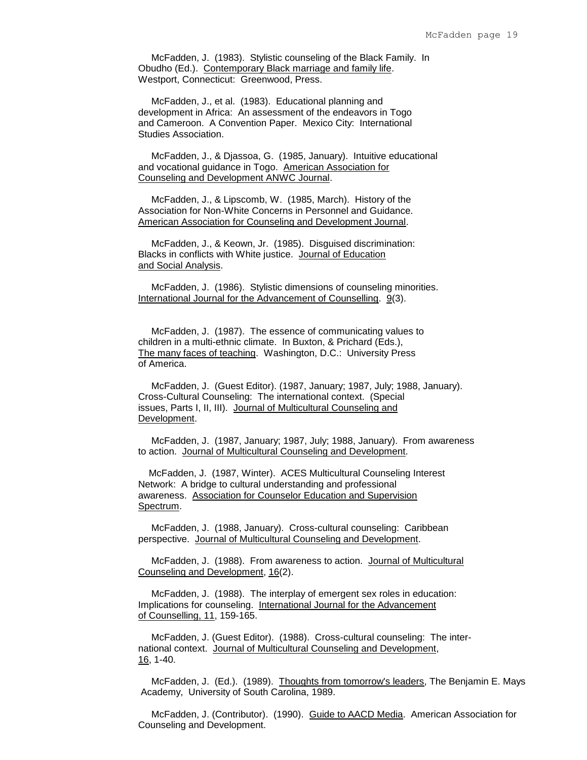McFadden, J. (1983). Stylistic counseling of the Black Family. In Obudho (Ed.). Contemporary Black marriage and family life. Westport, Connecticut: Greenwood, Press.

 McFadden, J., et al. (1983). Educational planning and development in Africa: An assessment of the endeavors in Togo and Cameroon. A Convention Paper. Mexico City: International Studies Association.

 McFadden, J., & Djassoa, G. (1985, January). Intuitive educational and vocational guidance in Togo. American Association for Counseling and Development ANWC Journal.

 McFadden, J., & Lipscomb, W. (1985, March). History of the Association for Non-White Concerns in Personnel and Guidance. American Association for Counseling and Development Journal.

 McFadden, J., & Keown, Jr. (1985). Disguised discrimination: Blacks in conflicts with White justice. Journal of Education and Social Analysis.

 McFadden, J. (1986). Stylistic dimensions of counseling minorities. International Journal for the Advancement of Counselling. 9(3).

 McFadden, J. (1987). The essence of communicating values to children in a multi-ethnic climate. In Buxton, & Prichard (Eds.), The many faces of teaching. Washington, D.C.: University Press of America.

 McFadden, J. (Guest Editor). (1987, January; 1987, July; 1988, January). Cross-Cultural Counseling: The international context. (Special issues, Parts I, II, III). Journal of Multicultural Counseling and Development.

 McFadden, J. (1987, January; 1987, July; 1988, January). From awareness to action. Journal of Multicultural Counseling and Development.

 McFadden, J. (1987, Winter). ACES Multicultural Counseling Interest Network: A bridge to cultural understanding and professional awareness. Association for Counselor Education and Supervision Spectrum.

 McFadden, J. (1988, January). Cross-cultural counseling: Caribbean perspective. Journal of Multicultural Counseling and Development.

 McFadden, J. (1988). From awareness to action. Journal of Multicultural Counseling and Development, 16(2).

 McFadden, J. (1988). The interplay of emergent sex roles in education: Implications for counseling. International Journal for the Advancement of Counselling, 11, 159-165.

 McFadden, J. (Guest Editor). (1988). Cross-cultural counseling: The international context. Journal of Multicultural Counseling and Development, 16, 1-40.

 McFadden, J. (Ed.). (1989). Thoughts from tomorrow's leaders, The Benjamin E. Mays Academy, University of South Carolina, 1989.

 McFadden, J. (Contributor). (1990). Guide to AACD Media. American Association for Counseling and Development.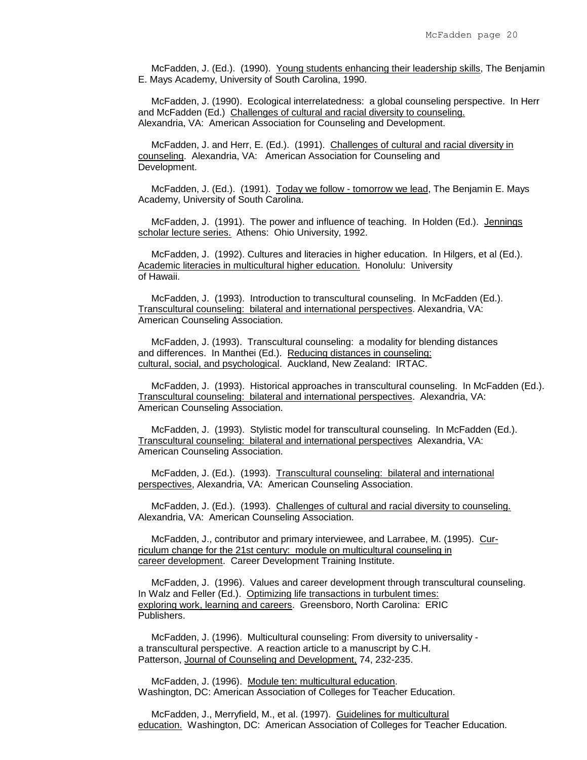McFadden, J. (Ed.). (1990). Young students enhancing their leadership skills, The Benjamin E. Mays Academy, University of South Carolina, 1990.

 McFadden, J. (1990). Ecological interrelatedness: a global counseling perspective. In Herr and McFadden (Ed.) Challenges of cultural and racial diversity to counseling. Alexandria, VA: American Association for Counseling and Development.

 McFadden, J. and Herr, E. (Ed.). (1991). Challenges of cultural and racial diversity in counseling. Alexandria, VA: American Association for Counseling and Development.

 McFadden, J. (Ed.). (1991). Today we follow - tomorrow we lead, The Benjamin E. Mays Academy, University of South Carolina.

 McFadden, J. (1991). The power and influence of teaching. In Holden (Ed.). Jennings scholar lecture series. Athens: Ohio University, 1992.

 McFadden, J. (1992). Cultures and literacies in higher education. In Hilgers, et al (Ed.). Academic literacies in multicultural higher education. Honolulu: University of Hawaii.

 McFadden, J. (1993). Introduction to transcultural counseling. In McFadden (Ed.). Transcultural counseling: bilateral and international perspectives. Alexandria, VA: American Counseling Association.

 McFadden, J. (1993). Transcultural counseling: a modality for blending distances and differences. In Manthei (Ed.). Reducing distances in counseling: cultural, social, and psychological. Auckland, New Zealand: IRTAC.

 McFadden, J. (1993). Historical approaches in transcultural counseling. In McFadden (Ed.). Transcultural counseling: bilateral and international perspectives. Alexandria, VA: American Counseling Association.

 McFadden, J. (1993). Stylistic model for transcultural counseling. In McFadden (Ed.). Transcultural counseling: bilateral and international perspectives Alexandria, VA: American Counseling Association.

 McFadden, J. (Ed.). (1993). Transcultural counseling: bilateral and international perspectives, Alexandria, VA: American Counseling Association.

 McFadden, J. (Ed.). (1993). Challenges of cultural and racial diversity to counseling. Alexandria, VA: American Counseling Association.

 McFadden, J., contributor and primary interviewee, and Larrabee, M. (1995). Curriculum change for the 21st century: module on multicultural counseling in career development. Career Development Training Institute.

 McFadden, J. (1996). Values and career development through transcultural counseling. In Walz and Feller (Ed.). Optimizing life transactions in turbulent times: exploring work, learning and careers. Greensboro, North Carolina: ERIC Publishers.

 McFadden, J. (1996). Multicultural counseling: From diversity to universality a transcultural perspective. A reaction article to a manuscript by C.H. Patterson, Journal of Counseling and Development, 74, 232-235.

 McFadden, J. (1996). Module ten: multicultural education. Washington, DC: American Association of Colleges for Teacher Education.

 McFadden, J., Merryfield, M., et al. (1997). Guidelines for multicultural education. Washington, DC: American Association of Colleges for Teacher Education.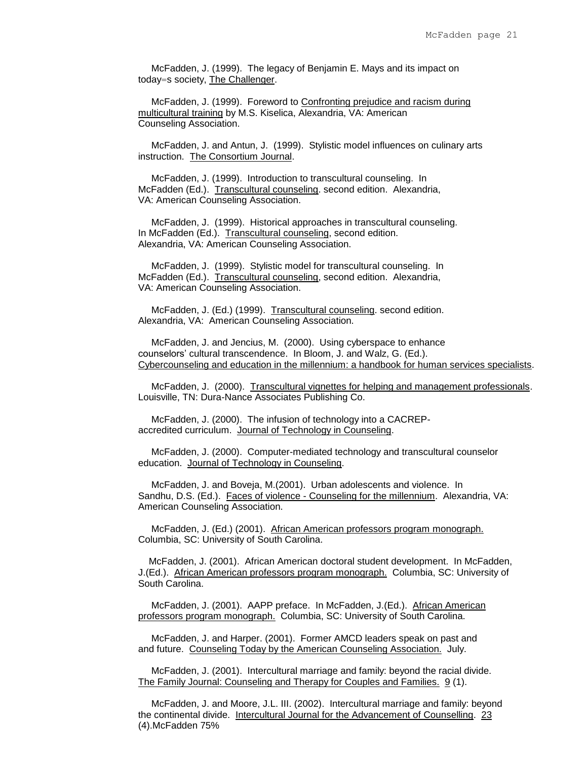McFadden, J. (1999). The legacy of Benjamin E. Mays and its impact on today=s society, The Challenger.

 McFadden, J. (1999). Foreword to Confronting prejudice and racism during multicultural training by M.S. Kiselica, Alexandria, VA: American Counseling Association.

 McFadden, J. and Antun, J. (1999). Stylistic model influences on culinary arts instruction. The Consortium Journal.

 McFadden, J. (1999). Introduction to transcultural counseling. In McFadden (Ed.). Transcultural counseling. second edition. Alexandria, VA: American Counseling Association.

 McFadden, J. (1999). Historical approaches in transcultural counseling. In McFadden (Ed.). Transcultural counseling, second edition. Alexandria, VA: American Counseling Association.

 McFadden, J. (1999). Stylistic model for transcultural counseling. In McFadden (Ed.). Transcultural counseling, second edition. Alexandria, VA: American Counseling Association.

 McFadden, J. (Ed.) (1999). Transcultural counseling. second edition. Alexandria, VA: American Counseling Association.

 McFadden, J. and Jencius, M. (2000). Using cyberspace to enhance counselors' cultural transcendence. In Bloom, J. and Walz, G. (Ed.). Cybercounseling and education in the millennium: a handbook for human services specialists.

 McFadden, J. (2000). Transcultural vignettes for helping and management professionals. Louisville, TN: Dura-Nance Associates Publishing Co.

 McFadden, J. (2000). The infusion of technology into a CACREPaccredited curriculum. Journal of Technology in Counseling.

 McFadden, J. (2000). Computer-mediated technology and transcultural counselor education. Journal of Technology in Counseling.

 McFadden, J. and Boveja, M.(2001). Urban adolescents and violence. In Sandhu, D.S. (Ed.). Faces of violence - Counseling for the millennium. Alexandria, VA: American Counseling Association.

 McFadden, J. (Ed.) (2001). African American professors program monograph. Columbia, SC: University of South Carolina.

 McFadden, J. (2001). African American doctoral student development. In McFadden, J.(Ed.). African American professors program monograph. Columbia, SC: University of South Carolina.

 McFadden, J. (2001). AAPP preface. In McFadden, J.(Ed.). African American professors program monograph. Columbia, SC: University of South Carolina.

 McFadden, J. and Harper. (2001). Former AMCD leaders speak on past and and future. Counseling Today by the American Counseling Association. July.

 McFadden, J. (2001). Intercultural marriage and family: beyond the racial divide. The Family Journal: Counseling and Therapy for Couples and Families. 9 (1).

 McFadden, J. and Moore, J.L. III. (2002). Intercultural marriage and family: beyond the continental divide. Intercultural Journal for the Advancement of Counselling. 23 (4).McFadden 75%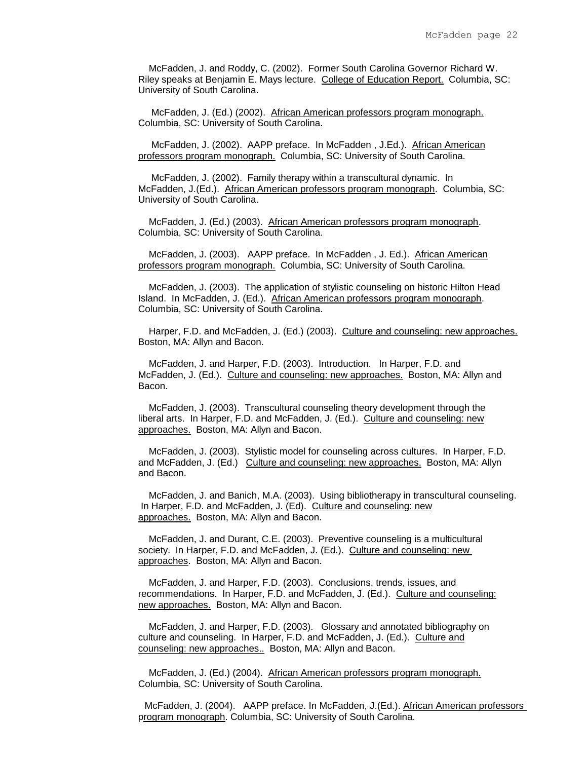McFadden, J. and Roddy, C. (2002). Former South Carolina Governor Richard W. Riley speaks at Benjamin E. Mays lecture. College of Education Report. Columbia, SC: University of South Carolina.

 McFadden, J. (Ed.) (2002). African American professors program monograph. Columbia, SC: University of South Carolina.

 McFadden, J. (2002). AAPP preface. In McFadden , J.Ed.). African American professors program monograph. Columbia, SC: University of South Carolina.

 McFadden, J. (2002). Family therapy within a transcultural dynamic. In McFadden, J.(Ed.). African American professors program monograph. Columbia, SC: University of South Carolina.

 McFadden, J. (Ed.) (2003). African American professors program monograph. Columbia, SC: University of South Carolina.

 McFadden, J. (2003). AAPP preface. In McFadden , J. Ed.). African American professors program monograph. Columbia, SC: University of South Carolina.

 McFadden, J. (2003). The application of stylistic counseling on historic Hilton Head Island. In McFadden, J. (Ed.). African American professors program monograph. Columbia, SC: University of South Carolina.

 Harper, F.D. and McFadden, J. (Ed.) (2003). Culture and counseling: new approaches. Boston, MA: Allyn and Bacon.

 McFadden, J. and Harper, F.D. (2003). Introduction. In Harper, F.D. and McFadden, J. (Ed.). Culture and counseling: new approaches. Boston, MA: Allyn and Bacon.

 McFadden, J. (2003). Transcultural counseling theory development through the liberal arts. In Harper, F.D. and McFadden, J. (Ed.). Culture and counseling: new approaches. Boston, MA: Allyn and Bacon.

 McFadden, J. (2003). Stylistic model for counseling across cultures. In Harper, F.D. and McFadden, J. (Ed.) Culture and counseling: new approaches. Boston, MA: Allyn and Bacon.

 McFadden, J. and Banich, M.A. (2003). Using bibliotherapy in transcultural counseling. In Harper, F.D. and McFadden, J. (Ed). Culture and counseling: new approaches. Boston, MA: Allyn and Bacon.

 McFadden, J. and Durant, C.E. (2003). Preventive counseling is a multicultural society. In Harper, F.D. and McFadden, J. (Ed.). Culture and counseling: new approaches. Boston, MA: Allyn and Bacon.

 McFadden, J. and Harper, F.D. (2003). Conclusions, trends, issues, and recommendations. In Harper, F.D. and McFadden, J. (Ed.). Culture and counseling: new approaches. Boston, MA: Allyn and Bacon.

 McFadden, J. and Harper, F.D. (2003). Glossary and annotated bibliography on culture and counseling. In Harper, F.D. and McFadden, J. (Ed.). Culture and counseling: new approaches.. Boston, MA: Allyn and Bacon.

 McFadden, J. (Ed.) (2004). African American professors program monograph. Columbia, SC: University of South Carolina.

 McFadden, J. (2004). AAPP preface. In McFadden, J.(Ed.). African American professors program monograph. Columbia, SC: University of South Carolina.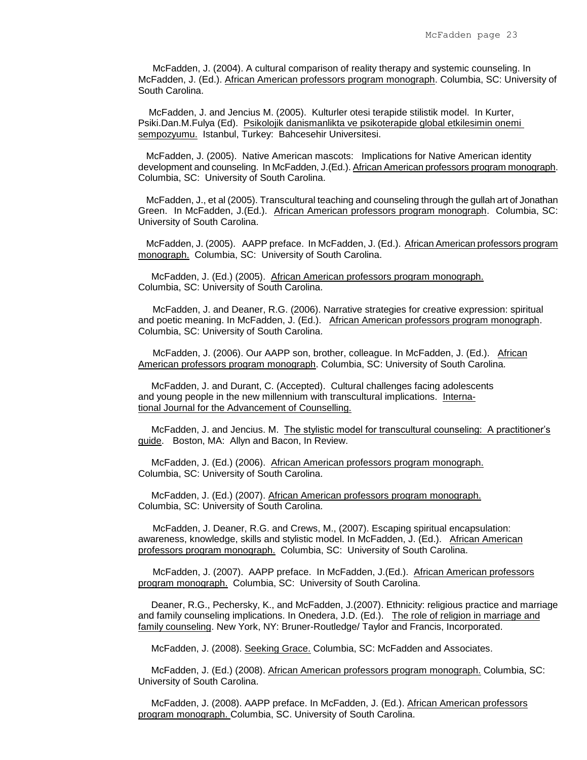McFadden, J. (2004). A cultural comparison of reality therapy and systemic counseling. In McFadden, J. (Ed.). African American professors program monograph. Columbia, SC: University of South Carolina.

 McFadden, J. and Jencius M. (2005). Kulturler otesi terapide stilistik model. In Kurter, Psiki.Dan.M.Fulya (Ed). Psikolojik danismanlikta ve psikoterapide global etkilesimin onemi sempozyumu. Istanbul, Turkey: Bahcesehir Universitesi.

 McFadden, J. (2005). Native American mascots: Implications for Native American identity development and counseling. In McFadden, J.(Ed.). African American professors program monograph. Columbia, SC: University of South Carolina.

 McFadden, J., et al (2005). Transcultural teaching and counseling through the gullah art of Jonathan Green. In McFadden, J.(Ed.). African American professors program monograph. Columbia, SC: University of South Carolina.

 McFadden, J. (2005). AAPP preface. In McFadden, J. (Ed.). African American professors program monograph. Columbia, SC: University of South Carolina.

 McFadden, J. (Ed.) (2005). African American professors program monograph. Columbia, SC: University of South Carolina.

McFadden, J. and Deaner, R.G. (2006). Narrative strategies for creative expression: spiritual and poetic meaning. In McFadden, J. (Ed.). African American professors program monograph. Columbia, SC: University of South Carolina.

McFadden, J. (2006). Our AAPP son, brother, colleague. In McFadden, J. (Ed.). African American professors program monograph. Columbia, SC: University of South Carolina.

 McFadden, J. and Durant, C. (Accepted). Cultural challenges facing adolescents and young people in the new millennium with transcultural implications. International Journal for the Advancement of Counselling.

 McFadden, J. and Jencius. M. The stylistic model for transcultural counseling: A practitioner's guide. Boston, MA: Allyn and Bacon, In Review.

 McFadden, J. (Ed.) (2006). African American professors program monograph. Columbia, SC: University of South Carolina.

 McFadden, J. (Ed.) (2007). African American professors program monograph. Columbia, SC: University of South Carolina.

McFadden, J. Deaner, R.G. and Crews, M., (2007). Escaping spiritual encapsulation: awareness, knowledge, skills and stylistic model. In McFadden, J. (Ed.). African American professors program monograph. Columbia, SC: University of South Carolina.

McFadden, J. (2007). AAPP preface. In McFadden, J.(Ed.). African American professors program monograph. Columbia, SC: University of South Carolina.

Deaner, R.G., Pechersky, K., and McFadden, J.(2007). Ethnicity: religious practice and marriage and family counseling implications. In Onedera, J.D. (Ed.). The role of religion in marriage and family counseling. New York, NY: Bruner-Routledge/ Taylor and Francis, Incorporated.

McFadden, J. (2008). Seeking Grace. Columbia, SC: McFadden and Associates.

McFadden, J. (Ed.) (2008). African American professors program monograph. Columbia, SC: University of South Carolina.

McFadden, J. (2008). AAPP preface. In McFadden, J. (Ed.). African American professors program monograph. Columbia, SC. University of South Carolina.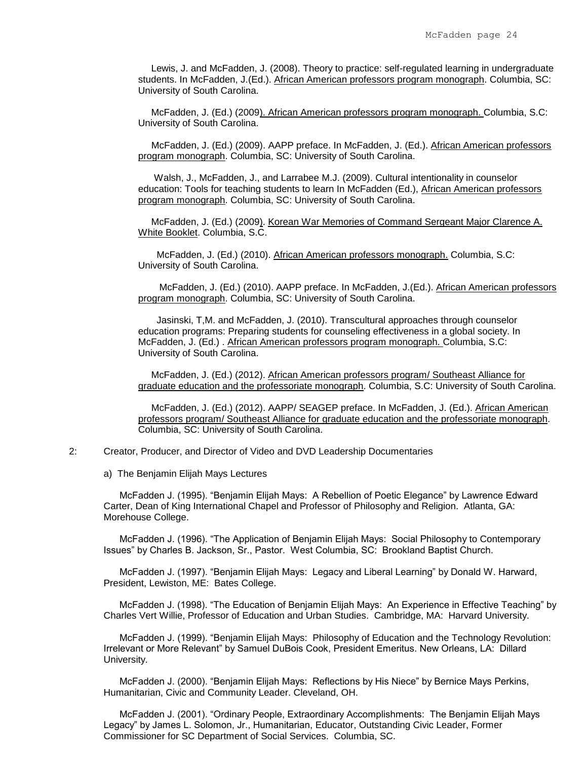Lewis, J. and McFadden, J. (2008). Theory to practice: self-regulated learning in undergraduate students. In McFadden, J.(Ed.). African American professors program monograph. Columbia, SC: University of South Carolina.

McFadden, J. (Ed.) (2009). African American professors program monograph. Columbia, S.C: University of South Carolina.

 McFadden, J. (Ed.) (2009). AAPP preface. In McFadden, J. (Ed.). African American professors program monograph. Columbia, SC: University of South Carolina.

 Walsh, J., McFadden, J., and Larrabee M.J. (2009). Cultural intentionality in counselor education: Tools for teaching students to learn In McFadden (Ed.), African American professors program monograph. Columbia, SC: University of South Carolina.

McFadden, J. (Ed.) (2009). Korean War Memories of Command Sergeant Major Clarence A. White Booklet. Columbia, S.C.

 McFadden, J. (Ed.) (2010). African American professors monograph. Columbia, S.C: University of South Carolina.

 McFadden, J. (Ed.) (2010). AAPP preface. In McFadden, J.(Ed.). African American professors program monograph. Columbia, SC: University of South Carolina.

 Jasinski, T,M. and McFadden, J. (2010). Transcultural approaches through counselor education programs: Preparing students for counseling effectiveness in a global society. In McFadden, J. (Ed.) . African American professors program monograph. Columbia, S.C: University of South Carolina.

McFadden, J. (Ed.) (2012). African American professors program/ Southeast Alliance for graduate education and the professoriate monograph. Columbia, S.C: University of South Carolina.

 McFadden, J. (Ed.) (2012). AAPP/ SEAGEP preface. In McFadden, J. (Ed.). African American professors program/ Southeast Alliance for graduate education and the professoriate monograph. Columbia, SC: University of South Carolina.

2: Creator, Producer, and Director of Video and DVD Leadership Documentaries

a) The Benjamin Elijah Mays Lectures

 McFadden J. (1995). "Benjamin Elijah Mays: A Rebellion of Poetic Elegance" by Lawrence Edward Carter, Dean of King International Chapel and Professor of Philosophy and Religion. Atlanta, GA: Morehouse College.

 McFadden J. (1996). "The Application of Benjamin Elijah Mays: Social Philosophy to Contemporary Issues" by Charles B. Jackson, Sr., Pastor. West Columbia, SC: Brookland Baptist Church.

 McFadden J. (1997). "Benjamin Elijah Mays: Legacy and Liberal Learning" by Donald W. Harward, President, Lewiston, ME: Bates College.

 McFadden J. (1998). "The Education of Benjamin Elijah Mays: An Experience in Effective Teaching" by Charles Vert Willie, Professor of Education and Urban Studies. Cambridge, MA: Harvard University.

 McFadden J. (1999). "Benjamin Elijah Mays: Philosophy of Education and the Technology Revolution: Irrelevant or More Relevant" by Samuel DuBois Cook, President Emeritus. New Orleans, LA: Dillard University.

 McFadden J. (2000). "Benjamin Elijah Mays: Reflections by His Niece" by Bernice Mays Perkins, Humanitarian, Civic and Community Leader. Cleveland, OH.

 McFadden J. (2001). "Ordinary People, Extraordinary Accomplishments: The Benjamin Elijah Mays Legacy" by James L. Solomon, Jr., Humanitarian, Educator, Outstanding Civic Leader, Former Commissioner for SC Department of Social Services. Columbia, SC.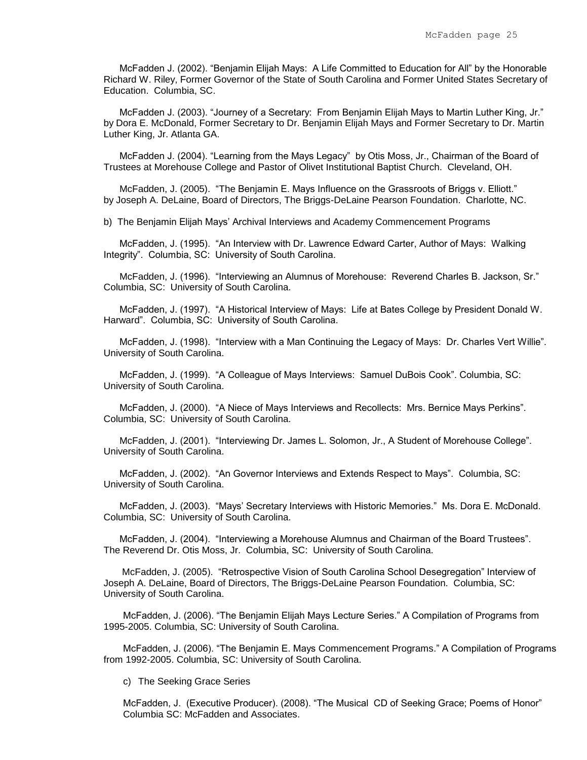McFadden J. (2002). "Benjamin Elijah Mays: A Life Committed to Education for All" by the Honorable Richard W. Riley, Former Governor of the State of South Carolina and Former United States Secretary of Education. Columbia, SC.

 McFadden J. (2003). "Journey of a Secretary: From Benjamin Elijah Mays to Martin Luther King, Jr." by Dora E. McDonald, Former Secretary to Dr. Benjamin Elijah Mays and Former Secretary to Dr. Martin Luther King, Jr. Atlanta GA.

 McFadden J. (2004). "Learning from the Mays Legacy" by Otis Moss, Jr., Chairman of the Board of Trustees at Morehouse College and Pastor of Olivet Institutional Baptist Church. Cleveland, OH.

 McFadden, J. (2005). "The Benjamin E. Mays Influence on the Grassroots of Briggs v. Elliott." by Joseph A. DeLaine, Board of Directors, The Briggs-DeLaine Pearson Foundation. Charlotte, NC.

b) The Benjamin Elijah Mays' Archival Interviews and Academy Commencement Programs

 McFadden, J. (1995). "An Interview with Dr. Lawrence Edward Carter, Author of Mays: Walking Integrity". Columbia, SC: University of South Carolina.

 McFadden, J. (1996). "Interviewing an Alumnus of Morehouse: Reverend Charles B. Jackson, Sr." Columbia, SC: University of South Carolina.

 McFadden, J. (1997). "A Historical Interview of Mays: Life at Bates College by President Donald W. Harward". Columbia, SC: University of South Carolina.

 McFadden, J. (1998). "Interview with a Man Continuing the Legacy of Mays: Dr. Charles Vert Willie". University of South Carolina.

 McFadden, J. (1999). "A Colleague of Mays Interviews: Samuel DuBois Cook". Columbia, SC: University of South Carolina.

 McFadden, J. (2000). "A Niece of Mays Interviews and Recollects: Mrs. Bernice Mays Perkins". Columbia, SC: University of South Carolina.

 McFadden, J. (2001). "Interviewing Dr. James L. Solomon, Jr., A Student of Morehouse College". University of South Carolina.

 McFadden, J. (2002). "An Governor Interviews and Extends Respect to Mays". Columbia, SC: University of South Carolina.

 McFadden, J. (2003). "Mays' Secretary Interviews with Historic Memories." Ms. Dora E. McDonald. Columbia, SC: University of South Carolina.

 McFadden, J. (2004). "Interviewing a Morehouse Alumnus and Chairman of the Board Trustees". The Reverend Dr. Otis Moss, Jr. Columbia, SC: University of South Carolina.

 McFadden, J. (2005). "Retrospective Vision of South Carolina School Desegregation" Interview of Joseph A. DeLaine, Board of Directors, The Briggs-DeLaine Pearson Foundation. Columbia, SC: University of South Carolina.

McFadden, J. (2006). "The Benjamin Elijah Mays Lecture Series." A Compilation of Programs from 1995-2005. Columbia, SC: University of South Carolina.

McFadden, J. (2006). "The Benjamin E. Mays Commencement Programs." A Compilation of Programs from 1992-2005. Columbia, SC: University of South Carolina.

c) The Seeking Grace Series

McFadden, J. (Executive Producer). (2008). "The Musical CD of Seeking Grace; Poems of Honor" Columbia SC: McFadden and Associates.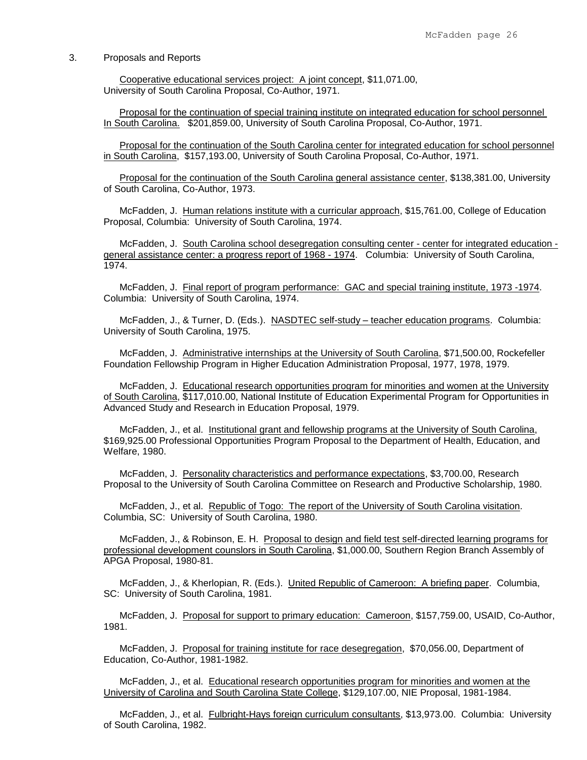## 3. Proposals and Reports

 Cooperative educational services project: A joint concept, \$11,071.00, University of South Carolina Proposal, Co-Author, 1971.

 Proposal for the continuation of special training institute on integrated education for school personnel In South Carolina. \$201,859.00, University of South Carolina Proposal, Co-Author, 1971.

 Proposal for the continuation of the South Carolina center for integrated education for school personnel in South Carolina, \$157,193.00, University of South Carolina Proposal, Co-Author, 1971.

 Proposal for the continuation of the South Carolina general assistance center, \$138,381.00, University of South Carolina, Co-Author, 1973.

McFadden, J. Human relations institute with a curricular approach, \$15,761.00, College of Education Proposal, Columbia: University of South Carolina, 1974.

McFadden, J. South Carolina school desegregation consulting center - center for integrated education general assistance center: a progress report of 1968 - 1974. Columbia: University of South Carolina, 1974.

 McFadden, J. Final report of program performance: GAC and special training institute, 1973 -1974. Columbia: University of South Carolina, 1974.

McFadden, J., & Turner, D. (Eds.). NASDTEC self-study – teacher education programs. Columbia: University of South Carolina, 1975.

 McFadden, J. Administrative internships at the University of South Carolina, \$71,500.00, Rockefeller Foundation Fellowship Program in Higher Education Administration Proposal, 1977, 1978, 1979.

McFadden, J. Educational research opportunities program for minorities and women at the University of South Carolina, \$117,010.00, National Institute of Education Experimental Program for Opportunities in Advanced Study and Research in Education Proposal, 1979.

 McFadden, J., et al. Institutional grant and fellowship programs at the University of South Carolina, \$169,925.00 Professional Opportunities Program Proposal to the Department of Health, Education, and Welfare, 1980.

 McFadden, J. Personality characteristics and performance expectations, \$3,700.00, Research Proposal to the University of South Carolina Committee on Research and Productive Scholarship, 1980.

 McFadden, J., et al. Republic of Togo: The report of the University of South Carolina visitation. Columbia, SC: University of South Carolina, 1980.

 McFadden, J., & Robinson, E. H. Proposal to design and field test self-directed learning programs for professional development counslors in South Carolina, \$1,000.00, Southern Region Branch Assembly of APGA Proposal, 1980-81.

McFadden, J., & Kherlopian, R. (Eds.). United Republic of Cameroon: A briefing paper. Columbia, SC: University of South Carolina, 1981.

McFadden, J. Proposal for support to primary education: Cameroon, \$157,759.00, USAID, Co-Author, 1981.

 McFadden, J. Proposal for training institute for race desegregation, \$70,056.00, Department of Education, Co-Author, 1981-1982.

 McFadden, J., et al. Educational research opportunities program for minorities and women at the University of Carolina and South Carolina State College, \$129,107.00, NIE Proposal, 1981-1984.

 McFadden, J., et al. Fulbright-Hays foreign curriculum consultants, \$13,973.00. Columbia: University of South Carolina, 1982.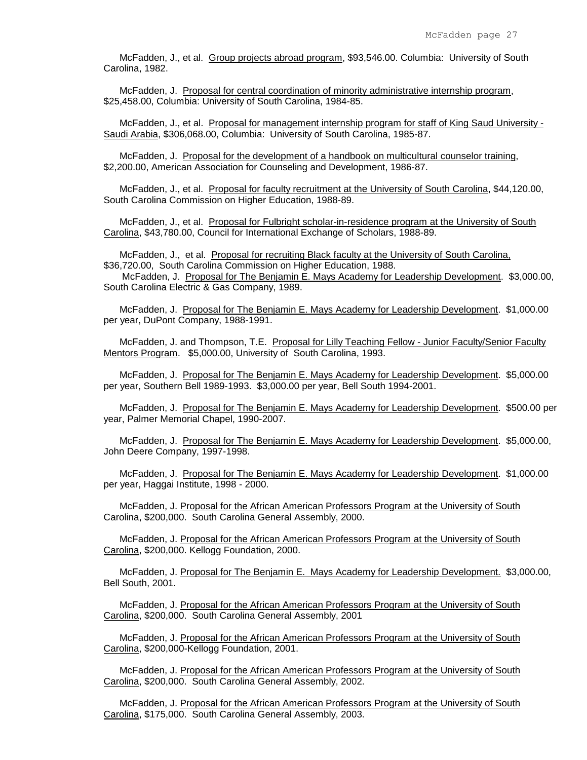McFadden, J., et al. Group projects abroad program, \$93,546.00. Columbia: University of South Carolina, 1982.

 McFadden, J. Proposal for central coordination of minority administrative internship program, \$25,458.00, Columbia: University of South Carolina, 1984-85.

 McFadden, J., et al. Proposal for management internship program for staff of King Saud University - Saudi Arabia, \$306,068.00, Columbia: University of South Carolina, 1985-87.

 McFadden, J. Proposal for the development of a handbook on multicultural counselor training, \$2,200.00, American Association for Counseling and Development, 1986-87.

McFadden, J., et al. Proposal for faculty recruitment at the University of South Carolina, \$44,120.00, South Carolina Commission on Higher Education, 1988-89.

McFadden, J., et al. Proposal for Fulbright scholar-in-residence program at the University of South Carolina, \$43,780.00, Council for International Exchange of Scholars, 1988-89.

 McFadden, J., et al. Proposal for recruiting Black faculty at the University of South Carolina, \$36,720.00, South Carolina Commission on Higher Education, 1988.

 McFadden, J. Proposal for The Benjamin E. Mays Academy for Leadership Development. \$3,000.00, South Carolina Electric & Gas Company, 1989.

 McFadden, J. Proposal for The Benjamin E. Mays Academy for Leadership Development. \$1,000.00 per year, DuPont Company, 1988-1991.

 McFadden, J. and Thompson, T.E. Proposal for Lilly Teaching Fellow - Junior Faculty/Senior Faculty Mentors Program. \$5,000.00, University of South Carolina, 1993.

 McFadden, J. Proposal for The Benjamin E. Mays Academy for Leadership Development. \$5,000.00 per year, Southern Bell 1989-1993. \$3,000.00 per year, Bell South 1994-2001.

 McFadden, J. Proposal for The Benjamin E. Mays Academy for Leadership Development. \$500.00 per year, Palmer Memorial Chapel, 1990-2007.

 McFadden, J. Proposal for The Benjamin E. Mays Academy for Leadership Development. \$5,000.00, John Deere Company, 1997-1998.

McFadden, J. Proposal for The Benjamin E. Mays Academy for Leadership Development. \$1,000.00 per year, Haggai Institute, 1998 - 2000.

 McFadden, J. Proposal for the African American Professors Program at the University of South Carolina, \$200,000. South Carolina General Assembly, 2000.

 McFadden, J. Proposal for the African American Professors Program at the University of South Carolina, \$200,000. Kellogg Foundation, 2000.

 McFadden, J. Proposal for The Benjamin E. Mays Academy for Leadership Development. \$3,000.00, Bell South, 2001.

 McFadden, J. Proposal for the African American Professors Program at the University of South Carolina, \$200,000. South Carolina General Assembly, 2001

 McFadden, J. Proposal for the African American Professors Program at the University of South Carolina, \$200,000-Kellogg Foundation, 2001.

 McFadden, J. Proposal for the African American Professors Program at the University of South Carolina, \$200,000. South Carolina General Assembly, 2002.

 McFadden, J. Proposal for the African American Professors Program at the University of South Carolina, \$175,000. South Carolina General Assembly, 2003.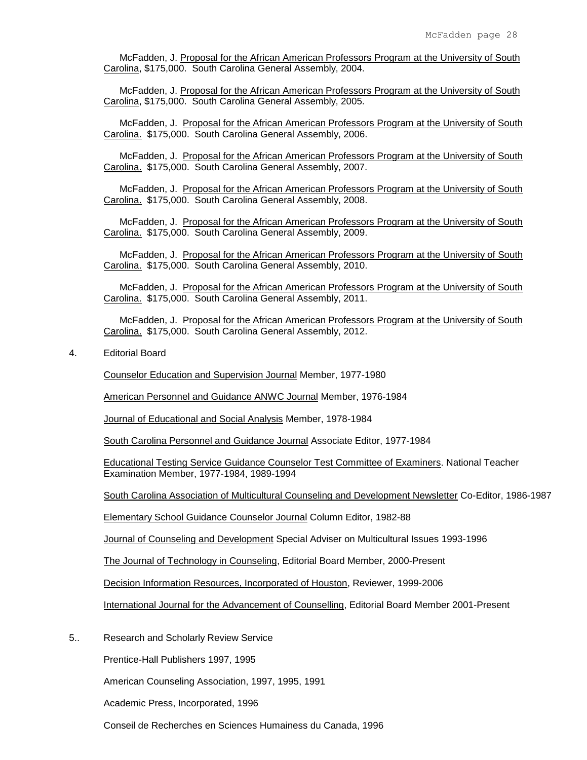McFadden, J. Proposal for the African American Professors Program at the University of South Carolina, \$175,000. South Carolina General Assembly, 2004.

 McFadden, J. Proposal for the African American Professors Program at the University of South Carolina, \$175,000. South Carolina General Assembly, 2005.

 McFadden, J. Proposal for the African American Professors Program at the University of South Carolina. \$175,000. South Carolina General Assembly, 2006.

 McFadden, J. Proposal for the African American Professors Program at the University of South Carolina. \$175,000. South Carolina General Assembly, 2007.

 McFadden, J. Proposal for the African American Professors Program at the University of South Carolina. \$175,000. South Carolina General Assembly, 2008.

McFadden, J. Proposal for the African American Professors Program at the University of South Carolina. \$175,000. South Carolina General Assembly, 2009.

 McFadden, J. Proposal for the African American Professors Program at the University of South Carolina. \$175,000. South Carolina General Assembly, 2010.

 McFadden, J. Proposal for the African American Professors Program at the University of South Carolina. \$175,000. South Carolina General Assembly, 2011.

 McFadden, J. Proposal for the African American Professors Program at the University of South Carolina. \$175,000. South Carolina General Assembly, 2012.

4. Editorial Board

Counselor Education and Supervision Journal Member, 1977-1980

American Personnel and Guidance ANWC Journal Member, 1976-1984

Journal of Educational and Social Analysis Member, 1978-1984

South Carolina Personnel and Guidance Journal Associate Editor, 1977-1984

Educational Testing Service Guidance Counselor Test Committee of Examiners. National Teacher Examination Member, 1977-1984, 1989-1994

South Carolina Association of Multicultural Counseling and Development Newsletter Co-Editor, 1986-1987

Elementary School Guidance Counselor Journal Column Editor, 1982-88

Journal of Counseling and Development Special Adviser on Multicultural Issues 1993-1996

The Journal of Technology in Counseling, Editorial Board Member, 2000-Present

Decision Information Resources, Incorporated of Houston, Reviewer, 1999-2006

International Journal for the Advancement of Counselling, Editorial Board Member 2001-Present

5.. Research and Scholarly Review Service

Prentice-Hall Publishers 1997, 1995

American Counseling Association, 1997, 1995, 1991

Academic Press, Incorporated, 1996

Conseil de Recherches en Sciences Humainess du Canada, 1996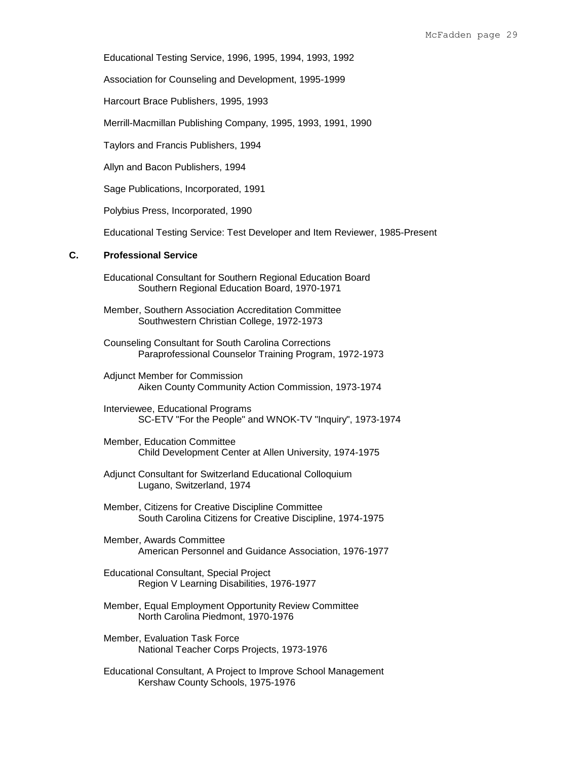Educational Testing Service, 1996, 1995, 1994, 1993, 1992

Association for Counseling and Development, 1995-1999

Harcourt Brace Publishers, 1995, 1993

Merrill-Macmillan Publishing Company, 1995, 1993, 1991, 1990

Taylors and Francis Publishers, 1994

Allyn and Bacon Publishers, 1994

Sage Publications, Incorporated, 1991

Polybius Press, Incorporated, 1990

Educational Testing Service: Test Developer and Item Reviewer, 1985-Present

## **C. Professional Service**

- Educational Consultant for Southern Regional Education Board Southern Regional Education Board, 1970-1971
- Member, Southern Association Accreditation Committee Southwestern Christian College, 1972-1973
- Counseling Consultant for South Carolina Corrections Paraprofessional Counselor Training Program, 1972-1973
- Adjunct Member for Commission Aiken County Community Action Commission, 1973-1974
- Interviewee, Educational Programs SC-ETV "For the People" and WNOK-TV "Inquiry", 1973-1974
- Member, Education Committee Child Development Center at Allen University, 1974-1975
- Adjunct Consultant for Switzerland Educational Colloquium Lugano, Switzerland, 1974
- Member, Citizens for Creative Discipline Committee South Carolina Citizens for Creative Discipline, 1974-1975
- Member, Awards Committee American Personnel and Guidance Association, 1976-1977
- Educational Consultant, Special Project Region V Learning Disabilities, 1976-1977
- Member, Equal Employment Opportunity Review Committee North Carolina Piedmont, 1970-1976
- Member, Evaluation Task Force National Teacher Corps Projects, 1973-1976
- Educational Consultant, A Project to Improve School Management Kershaw County Schools, 1975-1976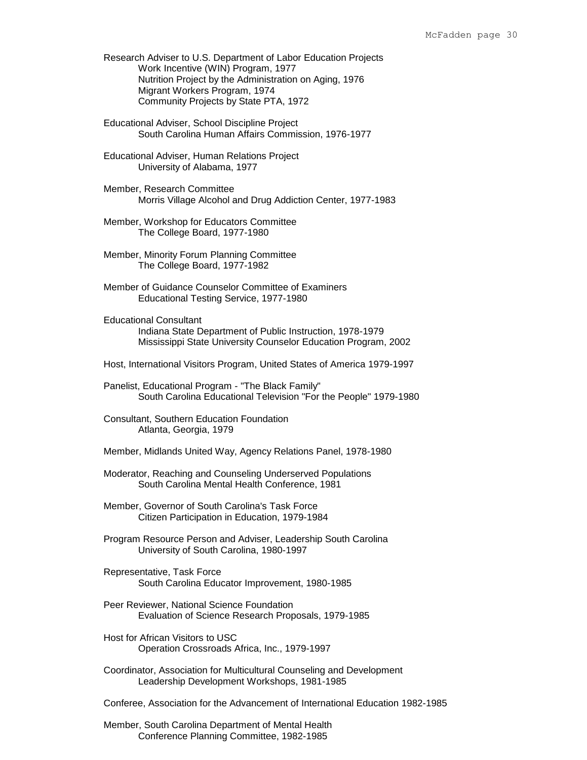Research Adviser to U.S. Department of Labor Education Projects Work Incentive (WIN) Program, 1977 Nutrition Project by the Administration on Aging, 1976 Migrant Workers Program, 1974 Community Projects by State PTA, 1972

- Educational Adviser, School Discipline Project South Carolina Human Affairs Commission, 1976-1977
- Educational Adviser, Human Relations Project University of Alabama, 1977
- Member, Research Committee Morris Village Alcohol and Drug Addiction Center, 1977-1983
- Member, Workshop for Educators Committee The College Board, 1977-1980
- Member, Minority Forum Planning Committee The College Board, 1977-1982
- Member of Guidance Counselor Committee of Examiners Educational Testing Service, 1977-1980
- Educational Consultant Indiana State Department of Public Instruction, 1978-1979 Mississippi State University Counselor Education Program, 2002
- Host, International Visitors Program, United States of America 1979-1997

Panelist, Educational Program - "The Black Family" South Carolina Educational Television "For the People" 1979-1980

Consultant, Southern Education Foundation Atlanta, Georgia, 1979

- Member, Midlands United Way, Agency Relations Panel, 1978-1980
- Moderator, Reaching and Counseling Underserved Populations South Carolina Mental Health Conference, 1981

Member, Governor of South Carolina's Task Force Citizen Participation in Education, 1979-1984

- Program Resource Person and Adviser, Leadership South Carolina University of South Carolina, 1980-1997
- Representative, Task Force South Carolina Educator Improvement, 1980-1985
- Peer Reviewer, National Science Foundation Evaluation of Science Research Proposals, 1979-1985
- Host for African Visitors to USC Operation Crossroads Africa, Inc., 1979-1997
- Coordinator, Association for Multicultural Counseling and Development Leadership Development Workshops, 1981-1985

Conferee, Association for the Advancement of International Education 1982-1985

Member, South Carolina Department of Mental Health Conference Planning Committee, 1982-1985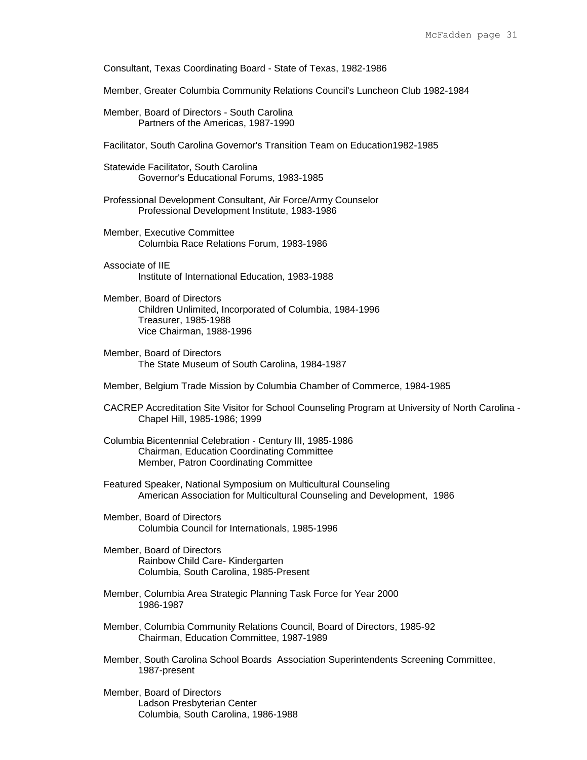Consultant, Texas Coordinating Board - State of Texas, 1982-1986

Member, Greater Columbia Community Relations Council's Luncheon Club 1982-1984

Member, Board of Directors - South Carolina Partners of the Americas, 1987-1990

Facilitator, South Carolina Governor's Transition Team on Education1982-1985

- Statewide Facilitator, South Carolina Governor's Educational Forums, 1983-1985
- Professional Development Consultant, Air Force/Army Counselor Professional Development Institute, 1983-1986
- Member, Executive Committee Columbia Race Relations Forum, 1983-1986
- Associate of IIE Institute of International Education, 1983-1988
- Member, Board of Directors Children Unlimited, Incorporated of Columbia, 1984-1996 Treasurer, 1985-1988 Vice Chairman, 1988-1996
- Member, Board of Directors The State Museum of South Carolina, 1984-1987
- Member, Belgium Trade Mission by Columbia Chamber of Commerce, 1984-1985
- CACREP Accreditation Site Visitor for School Counseling Program at University of North Carolina Chapel Hill, 1985-1986; 1999
- Columbia Bicentennial Celebration Century III, 1985-1986 Chairman, Education Coordinating Committee Member, Patron Coordinating Committee
- Featured Speaker, National Symposium on Multicultural Counseling American Association for Multicultural Counseling and Development, 1986
- Member, Board of Directors Columbia Council for Internationals, 1985-1996
- Member, Board of Directors Rainbow Child Care- Kindergarten Columbia, South Carolina, 1985-Present
- Member, Columbia Area Strategic Planning Task Force for Year 2000 1986-1987
- Member, Columbia Community Relations Council, Board of Directors, 1985-92 Chairman, Education Committee, 1987-1989
- Member, South Carolina School Boards Association Superintendents Screening Committee, 1987-present
- Member, Board of Directors Ladson Presbyterian Center Columbia, South Carolina, 1986-1988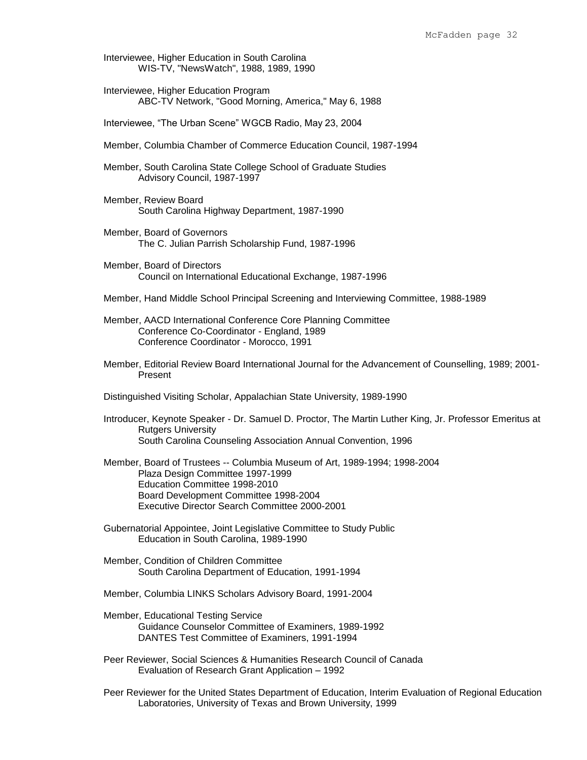- Interviewee, Higher Education in South Carolina WIS-TV, "NewsWatch", 1988, 1989, 1990
- Interviewee, Higher Education Program ABC-TV Network, "Good Morning, America," May 6, 1988

Interviewee, "The Urban Scene" WGCB Radio, May 23, 2004

- Member, Columbia Chamber of Commerce Education Council, 1987-1994
- Member, South Carolina State College School of Graduate Studies Advisory Council, 1987-1997
- Member, Review Board South Carolina Highway Department, 1987-1990
- Member, Board of Governors The C. Julian Parrish Scholarship Fund, 1987-1996
- Member, Board of Directors Council on International Educational Exchange, 1987-1996
- Member, Hand Middle School Principal Screening and Interviewing Committee, 1988-1989
- Member, AACD International Conference Core Planning Committee Conference Co-Coordinator - England, 1989 Conference Coordinator - Morocco, 1991
- Member, Editorial Review Board International Journal for the Advancement of Counselling, 1989; 2001- Present
- Distinguished Visiting Scholar, Appalachian State University, 1989-1990
- Introducer, Keynote Speaker Dr. Samuel D. Proctor, The Martin Luther King, Jr. Professor Emeritus at Rutgers University South Carolina Counseling Association Annual Convention, 1996
- Member, Board of Trustees -- Columbia Museum of Art, 1989-1994; 1998-2004 Plaza Design Committee 1997-1999 Education Committee 1998-2010 Board Development Committee 1998-2004 Executive Director Search Committee 2000-2001
- Gubernatorial Appointee, Joint Legislative Committee to Study Public Education in South Carolina, 1989-1990
- Member, Condition of Children Committee South Carolina Department of Education, 1991-1994
- Member, Columbia LINKS Scholars Advisory Board, 1991-2004
- Member, Educational Testing Service Guidance Counselor Committee of Examiners, 1989-1992 DANTES Test Committee of Examiners, 1991-1994
- Peer Reviewer, Social Sciences & Humanities Research Council of Canada Evaluation of Research Grant Application – 1992
- Peer Reviewer for the United States Department of Education, Interim Evaluation of Regional Education Laboratories, University of Texas and Brown University, 1999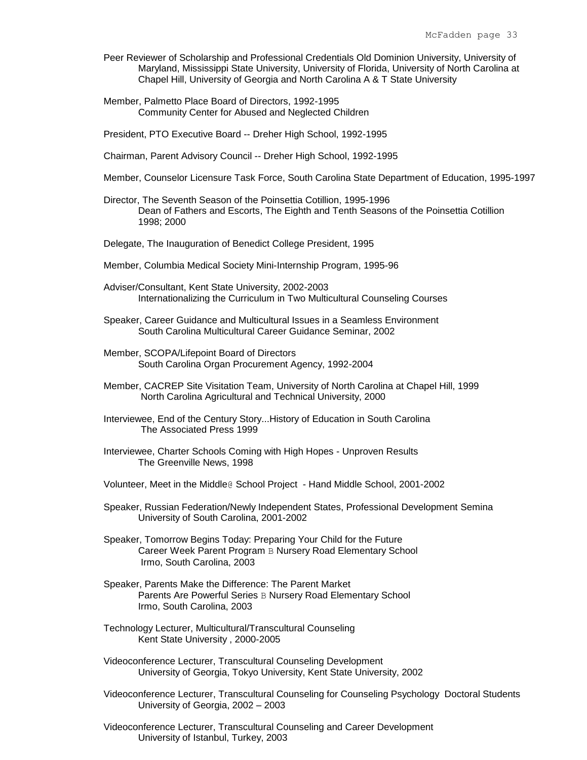- Peer Reviewer of Scholarship and Professional Credentials Old Dominion University, University of Maryland, Mississippi State University, University of Florida, University of North Carolina at Chapel Hill, University of Georgia and North Carolina A & T State University
- Member, Palmetto Place Board of Directors, 1992-1995 Community Center for Abused and Neglected Children
- President, PTO Executive Board -- Dreher High School, 1992-1995
- Chairman, Parent Advisory Council -- Dreher High School, 1992-1995
- Member, Counselor Licensure Task Force, South Carolina State Department of Education, 1995-1997
- Director, The Seventh Season of the Poinsettia Cotillion, 1995-1996 Dean of Fathers and Escorts, The Eighth and Tenth Seasons of the Poinsettia Cotillion 1998; 2000
- Delegate, The Inauguration of Benedict College President, 1995
- Member, Columbia Medical Society Mini-Internship Program, 1995-96
- Adviser/Consultant, Kent State University, 2002-2003 Internationalizing the Curriculum in Two Multicultural Counseling Courses
- Speaker, Career Guidance and Multicultural Issues in a Seamless Environment South Carolina Multicultural Career Guidance Seminar, 2002
- Member, SCOPA/Lifepoint Board of Directors South Carolina Organ Procurement Agency, 1992-2004
- Member, CACREP Site Visitation Team, University of North Carolina at Chapel Hill, 1999 North Carolina Agricultural and Technical University, 2000
- Interviewee, End of the Century Story...History of Education in South Carolina The Associated Press 1999
- Interviewee, Charter Schools Coming with High Hopes Unproven Results The Greenville News, 1998
- Volunteer, Meet in the Middle@ School Project Hand Middle School, 2001-2002
- Speaker, Russian Federation/Newly Independent States, Professional Development Semina University of South Carolina, 2001-2002
- Speaker, Tomorrow Begins Today: Preparing Your Child for the Future Career Week Parent Program B Nursery Road Elementary School Irmo, South Carolina, 2003
- Speaker, Parents Make the Difference: The Parent Market Parents Are Powerful Series B Nursery Road Elementary School Irmo, South Carolina, 2003
- Technology Lecturer, Multicultural/Transcultural Counseling Kent State University , 2000-2005
- Videoconference Lecturer, Transcultural Counseling Development University of Georgia, Tokyo University, Kent State University, 2002
- Videoconference Lecturer, Transcultural Counseling for Counseling Psychology Doctoral Students University of Georgia, 2002 – 2003
- Videoconference Lecturer, Transcultural Counseling and Career Development University of Istanbul, Turkey, 2003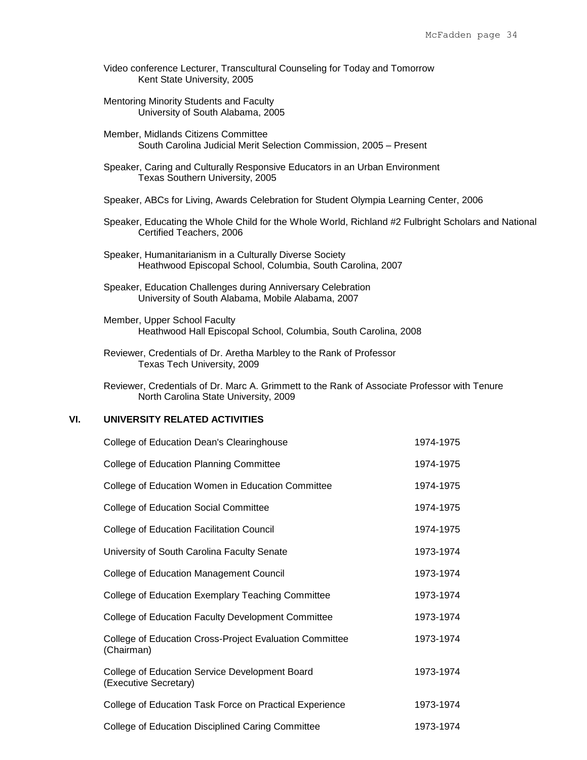- Video conference Lecturer, Transcultural Counseling for Today and Tomorrow Kent State University, 2005
- Mentoring Minority Students and Faculty University of South Alabama, 2005
- Member, Midlands Citizens Committee South Carolina Judicial Merit Selection Commission, 2005 – Present
- Speaker, Caring and Culturally Responsive Educators in an Urban Environment Texas Southern University, 2005
- Speaker, ABCs for Living, Awards Celebration for Student Olympia Learning Center, 2006
- Speaker, Educating the Whole Child for the Whole World, Richland #2 Fulbright Scholars and National Certified Teachers, 2006
- Speaker, Humanitarianism in a Culturally Diverse Society Heathwood Episcopal School, Columbia, South Carolina, 2007
- Speaker, Education Challenges during Anniversary Celebration University of South Alabama, Mobile Alabama, 2007
- Member, Upper School Faculty Heathwood Hall Episcopal School, Columbia, South Carolina, 2008
- Reviewer, Credentials of Dr. Aretha Marbley to the Rank of Professor Texas Tech University, 2009

Reviewer, Credentials of Dr. Marc A. Grimmett to the Rank of Associate Professor with Tenure North Carolina State University, 2009

# **VI. UNIVERSITY RELATED ACTIVITIES**

| College of Education Dean's Clearinghouse                               | 1974-1975 |
|-------------------------------------------------------------------------|-----------|
| <b>College of Education Planning Committee</b>                          | 1974-1975 |
| College of Education Women in Education Committee                       | 1974-1975 |
| <b>College of Education Social Committee</b>                            | 1974-1975 |
| <b>College of Education Facilitation Council</b>                        | 1974-1975 |
| University of South Carolina Faculty Senate                             | 1973-1974 |
| <b>College of Education Management Council</b>                          | 1973-1974 |
| College of Education Exemplary Teaching Committee                       | 1973-1974 |
| College of Education Faculty Development Committee                      | 1973-1974 |
| College of Education Cross-Project Evaluation Committee<br>(Chairman)   | 1973-1974 |
| College of Education Service Development Board<br>(Executive Secretary) | 1973-1974 |
| College of Education Task Force on Practical Experience                 | 1973-1974 |
| College of Education Disciplined Caring Committee                       | 1973-1974 |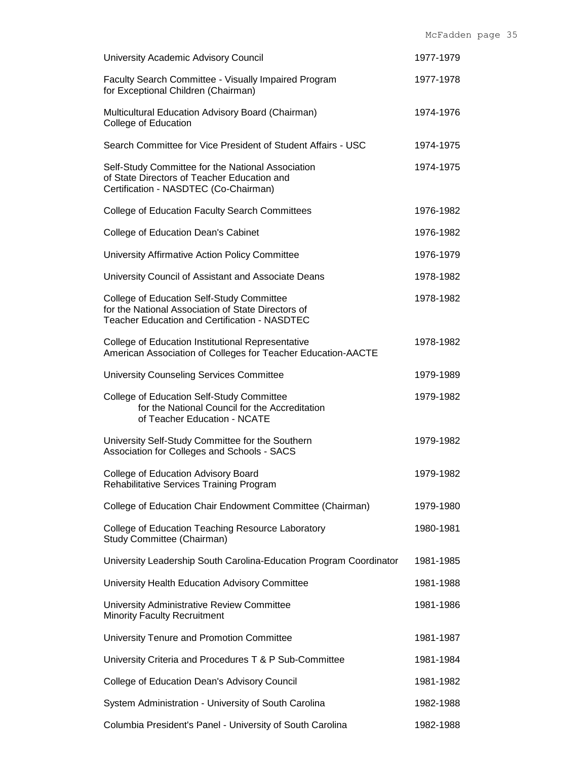| University Academic Advisory Council                                                                                                                    | 1977-1979 |
|---------------------------------------------------------------------------------------------------------------------------------------------------------|-----------|
| Faculty Search Committee - Visually Impaired Program<br>for Exceptional Children (Chairman)                                                             | 1977-1978 |
| Multicultural Education Advisory Board (Chairman)<br>College of Education                                                                               | 1974-1976 |
| Search Committee for Vice President of Student Affairs - USC                                                                                            | 1974-1975 |
| Self-Study Committee for the National Association<br>of State Directors of Teacher Education and<br>Certification - NASDTEC (Co-Chairman)               | 1974-1975 |
| <b>College of Education Faculty Search Committees</b>                                                                                                   | 1976-1982 |
| College of Education Dean's Cabinet                                                                                                                     | 1976-1982 |
| University Affirmative Action Policy Committee                                                                                                          | 1976-1979 |
| University Council of Assistant and Associate Deans                                                                                                     | 1978-1982 |
| College of Education Self-Study Committee<br>for the National Association of State Directors of<br><b>Teacher Education and Certification - NASDTEC</b> | 1978-1982 |
| College of Education Institutional Representative<br>American Association of Colleges for Teacher Education-AACTE                                       | 1978-1982 |
| University Counseling Services Committee                                                                                                                | 1979-1989 |
| College of Education Self-Study Committee<br>for the National Council for the Accreditation<br>of Teacher Education - NCATE                             | 1979-1982 |
| University Self-Study Committee for the Southern<br>Association for Colleges and Schools - SACS                                                         | 1979-1982 |
| College of Education Advisory Board<br>Rehabilitative Services Training Program                                                                         | 1979-1982 |
| College of Education Chair Endowment Committee (Chairman)                                                                                               | 1979-1980 |
| College of Education Teaching Resource Laboratory<br>Study Committee (Chairman)                                                                         | 1980-1981 |
| University Leadership South Carolina-Education Program Coordinator                                                                                      | 1981-1985 |
| University Health Education Advisory Committee                                                                                                          | 1981-1988 |
| University Administrative Review Committee<br><b>Minority Faculty Recruitment</b>                                                                       | 1981-1986 |
| University Tenure and Promotion Committee                                                                                                               | 1981-1987 |
| University Criteria and Procedures T & P Sub-Committee                                                                                                  | 1981-1984 |
| College of Education Dean's Advisory Council                                                                                                            | 1981-1982 |
| System Administration - University of South Carolina                                                                                                    | 1982-1988 |
| Columbia President's Panel - University of South Carolina                                                                                               | 1982-1988 |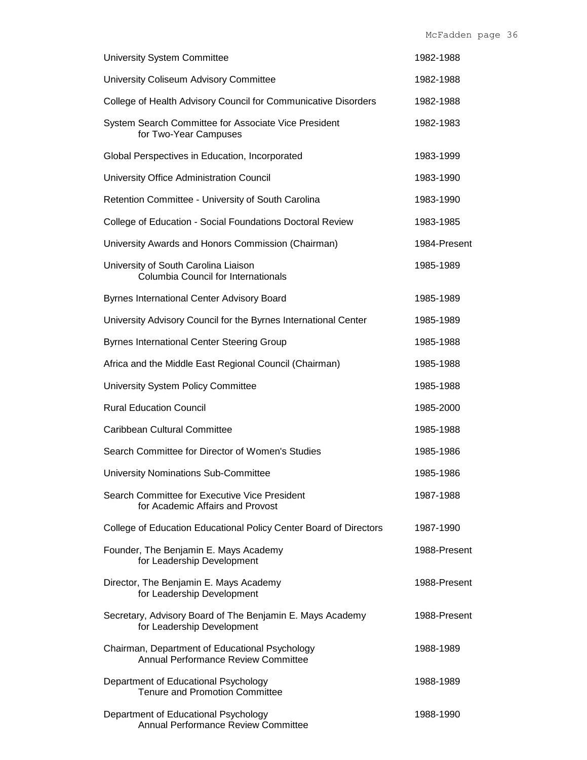| <b>University System Committee</b>                                                      | 1982-1988    |
|-----------------------------------------------------------------------------------------|--------------|
| University Coliseum Advisory Committee                                                  | 1982-1988    |
| College of Health Advisory Council for Communicative Disorders                          | 1982-1988    |
| System Search Committee for Associate Vice President<br>for Two-Year Campuses           | 1982-1983    |
| Global Perspectives in Education, Incorporated                                          | 1983-1999    |
| University Office Administration Council                                                | 1983-1990    |
| Retention Committee - University of South Carolina                                      | 1983-1990    |
| College of Education - Social Foundations Doctoral Review                               | 1983-1985    |
| University Awards and Honors Commission (Chairman)                                      | 1984-Present |
| University of South Carolina Liaison<br>Columbia Council for Internationals             | 1985-1989    |
| <b>Byrnes International Center Advisory Board</b>                                       | 1985-1989    |
| University Advisory Council for the Byrnes International Center                         | 1985-1989    |
| <b>Byrnes International Center Steering Group</b>                                       | 1985-1988    |
| Africa and the Middle East Regional Council (Chairman)                                  | 1985-1988    |
| University System Policy Committee                                                      | 1985-1988    |
| <b>Rural Education Council</b>                                                          | 1985-2000    |
| Caribbean Cultural Committee                                                            | 1985-1988    |
| Search Committee for Director of Women's Studies                                        | 1985-1986    |
| <b>University Nominations Sub-Committee</b>                                             | 1985-1986    |
| Search Committee for Executive Vice President<br>for Academic Affairs and Provost       | 1987-1988    |
| College of Education Educational Policy Center Board of Directors                       | 1987-1990    |
| Founder, The Benjamin E. Mays Academy<br>for Leadership Development                     | 1988-Present |
| Director, The Benjamin E. Mays Academy<br>for Leadership Development                    | 1988-Present |
| Secretary, Advisory Board of The Benjamin E. Mays Academy<br>for Leadership Development | 1988-Present |
| Chairman, Department of Educational Psychology<br>Annual Performance Review Committee   | 1988-1989    |
| Department of Educational Psychology<br><b>Tenure and Promotion Committee</b>           | 1988-1989    |
| Department of Educational Psychology<br>Annual Performance Review Committee             | 1988-1990    |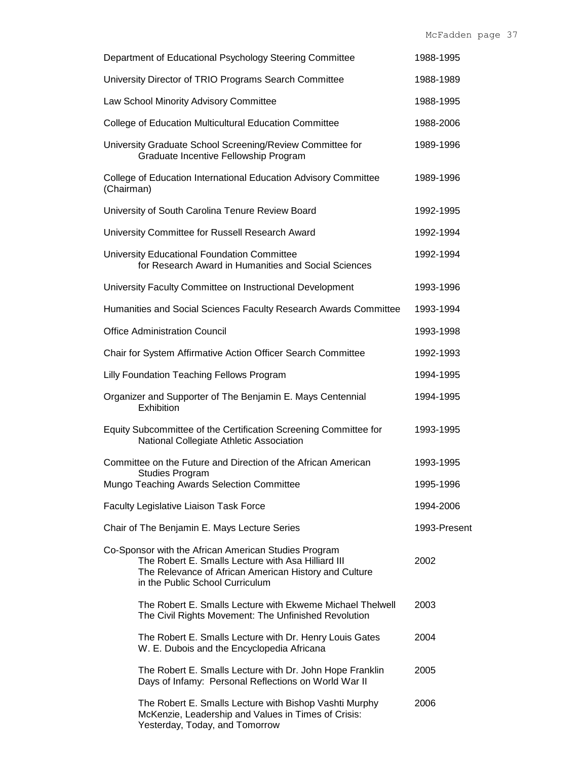| Department of Educational Psychology Steering Committee                                                                                                                                                | 1988-1995              |
|--------------------------------------------------------------------------------------------------------------------------------------------------------------------------------------------------------|------------------------|
| University Director of TRIO Programs Search Committee                                                                                                                                                  | 1988-1989              |
| Law School Minority Advisory Committee                                                                                                                                                                 | 1988-1995              |
| College of Education Multicultural Education Committee                                                                                                                                                 | 1988-2006              |
| University Graduate School Screening/Review Committee for<br>Graduate Incentive Fellowship Program                                                                                                     | 1989-1996              |
| College of Education International Education Advisory Committee<br>(Chairman)                                                                                                                          | 1989-1996              |
| University of South Carolina Tenure Review Board                                                                                                                                                       | 1992-1995              |
| University Committee for Russell Research Award                                                                                                                                                        | 1992-1994              |
| University Educational Foundation Committee<br>for Research Award in Humanities and Social Sciences                                                                                                    | 1992-1994              |
| University Faculty Committee on Instructional Development                                                                                                                                              | 1993-1996              |
| Humanities and Social Sciences Faculty Research Awards Committee                                                                                                                                       | 1993-1994              |
| <b>Office Administration Council</b>                                                                                                                                                                   | 1993-1998              |
| Chair for System Affirmative Action Officer Search Committee                                                                                                                                           | 1992-1993              |
| Lilly Foundation Teaching Fellows Program                                                                                                                                                              | 1994-1995              |
| Organizer and Supporter of The Benjamin E. Mays Centennial<br>Exhibition                                                                                                                               | 1994-1995              |
| Equity Subcommittee of the Certification Screening Committee for<br>National Collegiate Athletic Association                                                                                           | 1993-1995              |
| Committee on the Future and Direction of the African American<br><b>Studies Program</b><br>Mungo Teaching Awards Selection Committee                                                                   | 1993-1995<br>1995-1996 |
| Faculty Legislative Liaison Task Force                                                                                                                                                                 | 1994-2006              |
| Chair of The Benjamin E. Mays Lecture Series                                                                                                                                                           | 1993-Present           |
| Co-Sponsor with the African American Studies Program<br>The Robert E. Smalls Lecture with Asa Hilliard III<br>The Relevance of African American History and Culture<br>in the Public School Curriculum | 2002                   |
| The Robert E. Smalls Lecture with Ekweme Michael Thelwell<br>The Civil Rights Movement: The Unfinished Revolution                                                                                      | 2003                   |
| The Robert E. Smalls Lecture with Dr. Henry Louis Gates<br>W. E. Dubois and the Encyclopedia Africana                                                                                                  | 2004                   |
| The Robert E. Smalls Lecture with Dr. John Hope Franklin<br>Days of Infamy: Personal Reflections on World War II                                                                                       | 2005                   |
| The Robert E. Smalls Lecture with Bishop Vashti Murphy<br>McKenzie, Leadership and Values in Times of Crisis:                                                                                          | 2006                   |

Yesterday, Today, and Tomorrow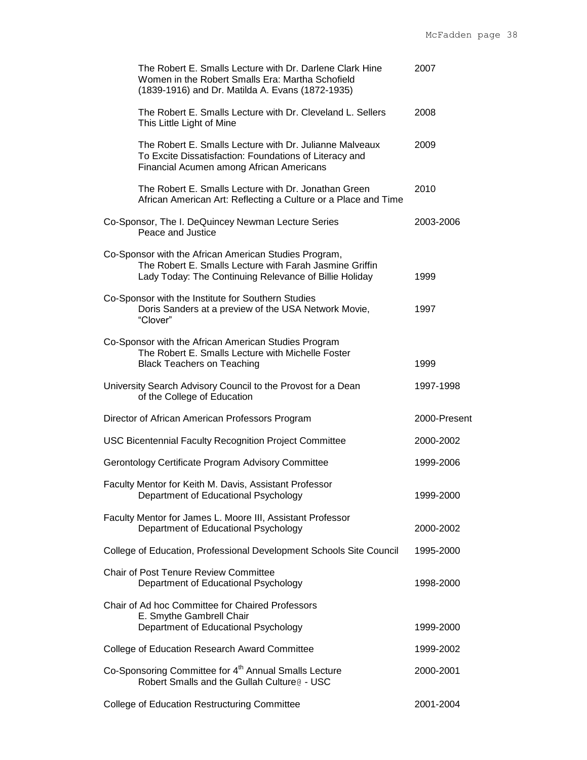| The Robert E. Smalls Lecture with Dr. Darlene Clark Hine<br>Women in the Robert Smalls Era: Martha Schofield<br>(1839-1916) and Dr. Matilda A. Evans (1872-1935)           | 2007         |
|----------------------------------------------------------------------------------------------------------------------------------------------------------------------------|--------------|
| The Robert E. Smalls Lecture with Dr. Cleveland L. Sellers<br>This Little Light of Mine                                                                                    | 2008         |
| The Robert E. Smalls Lecture with Dr. Julianne Malveaux<br>To Excite Dissatisfaction: Foundations of Literacy and<br>Financial Acumen among African Americans              | 2009         |
| The Robert E. Smalls Lecture with Dr. Jonathan Green<br>African American Art: Reflecting a Culture or a Place and Time                                                     | 2010         |
| Co-Sponsor, The I. DeQuincey Newman Lecture Series<br>Peace and Justice                                                                                                    | 2003-2006    |
| Co-Sponsor with the African American Studies Program,<br>The Robert E. Smalls Lecture with Farah Jasmine Griffin<br>Lady Today: The Continuing Relevance of Billie Holiday | 1999         |
| Co-Sponsor with the Institute for Southern Studies<br>Doris Sanders at a preview of the USA Network Movie,<br>"Clover"                                                     | 1997         |
| Co-Sponsor with the African American Studies Program<br>The Robert E. Smalls Lecture with Michelle Foster<br><b>Black Teachers on Teaching</b>                             | 1999         |
| University Search Advisory Council to the Provost for a Dean<br>of the College of Education                                                                                | 1997-1998    |
| Director of African American Professors Program                                                                                                                            | 2000-Present |
| USC Bicentennial Faculty Recognition Project Committee                                                                                                                     | 2000-2002    |
| Gerontology Certificate Program Advisory Committee                                                                                                                         | 1999-2006    |
| Faculty Mentor for Keith M. Davis, Assistant Professor<br>Department of Educational Psychology                                                                             | 1999-2000    |
| Faculty Mentor for James L. Moore III, Assistant Professor<br>Department of Educational Psychology                                                                         | 2000-2002    |
| College of Education, Professional Development Schools Site Council                                                                                                        | 1995-2000    |
| <b>Chair of Post Tenure Review Committee</b><br>Department of Educational Psychology                                                                                       | 1998-2000    |
| Chair of Ad hoc Committee for Chaired Professors<br>E. Smythe Gambrell Chair<br>Department of Educational Psychology                                                       | 1999-2000    |
| College of Education Research Award Committee                                                                                                                              | 1999-2002    |
| Co-Sponsoring Committee for 4 <sup>th</sup> Annual Smalls Lecture<br>Robert Smalls and the Gullah Culture @ - USC                                                          | 2000-2001    |
| <b>College of Education Restructuring Committee</b>                                                                                                                        | 2001-2004    |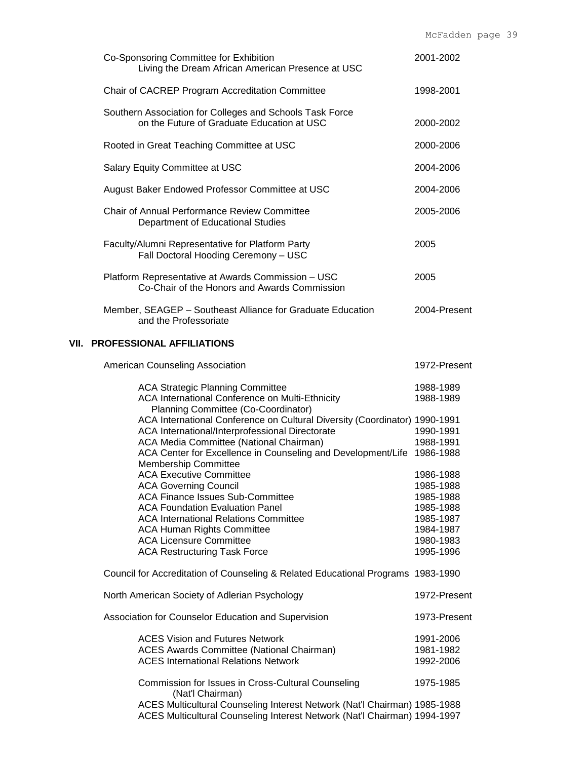|                                                                                                                                                                                                                                                    | rior auutii                                                                |
|----------------------------------------------------------------------------------------------------------------------------------------------------------------------------------------------------------------------------------------------------|----------------------------------------------------------------------------|
| Co-Sponsoring Committee for Exhibition<br>Living the Dream African American Presence at USC                                                                                                                                                        | 2001-2002                                                                  |
| Chair of CACREP Program Accreditation Committee                                                                                                                                                                                                    | 1998-2001                                                                  |
| Southern Association for Colleges and Schools Task Force<br>on the Future of Graduate Education at USC                                                                                                                                             | 2000-2002                                                                  |
| Rooted in Great Teaching Committee at USC                                                                                                                                                                                                          | 2000-2006                                                                  |
| Salary Equity Committee at USC                                                                                                                                                                                                                     | 2004-2006                                                                  |
| August Baker Endowed Professor Committee at USC                                                                                                                                                                                                    | 2004-2006                                                                  |
| Chair of Annual Performance Review Committee<br>Department of Educational Studies                                                                                                                                                                  | 2005-2006                                                                  |
| Faculty/Alumni Representative for Platform Party<br>Fall Doctoral Hooding Ceremony - USC                                                                                                                                                           | 2005                                                                       |
| Platform Representative at Awards Commission - USC<br>Co-Chair of the Honors and Awards Commission                                                                                                                                                 | 2005                                                                       |
| Member, SEAGEP - Southeast Alliance for Graduate Education<br>and the Professoriate                                                                                                                                                                | 2004-Present                                                               |
| <b>VII. PROFESSIONAL AFFILIATIONS</b>                                                                                                                                                                                                              |                                                                            |
| American Counseling Association                                                                                                                                                                                                                    | 1972-Present                                                               |
| <b>ACA Strategic Planning Committee</b><br>ACA International Conference on Multi-Ethnicity<br>Planning Committee (Co-Coordinator)                                                                                                                  | 1988-1989<br>1988-1989                                                     |
| ACA International Conference on Cultural Diversity (Coordinator) 1990-1991<br>ACA International/Interprofessional Directorate<br>ACA Media Committee (National Chairman)<br>ACA Center for Excellence in Counseling and Development/Life 1986-1988 | 1990-1991<br>1988-1991                                                     |
| <b>Membership Committee</b><br><b>ACA Executive Committee</b><br><b>ACA Governing Council</b>                                                                                                                                                      | 1986-1988<br>1985-1988                                                     |
| <b>ACA Finance Issues Sub-Committee</b><br><b>ACA Foundation Evaluation Panel</b><br><b>ACA International Relations Committee</b><br><b>ACA Human Rights Committee</b><br><b>ACA Licensure Committee</b><br><b>ACA Restructuring Task Force</b>    | 1985-1988<br>1985-1988<br>1985-1987<br>1984-1987<br>1980-1983<br>1995-1996 |
| Council for Accreditation of Counseling & Related Educational Programs 1983-1990                                                                                                                                                                   |                                                                            |
| North American Society of Adlerian Psychology                                                                                                                                                                                                      | 1972-Present                                                               |
| Association for Counselor Education and Supervision                                                                                                                                                                                                | 1973-Present                                                               |
| <b>ACES Vision and Futures Network</b><br><b>ACES Awards Committee (National Chairman)</b><br><b>ACES International Relations Network</b>                                                                                                          | 1991-2006<br>1981-1982<br>1992-2006                                        |
| Commission for Issues in Cross-Cultural Counseling                                                                                                                                                                                                 | 1975-1985                                                                  |

(Nat'l Chairman) ACES Multicultural Counseling Interest Network (Nat'l Chairman) 1985-1988 ACES Multicultural Counseling Interest Network (Nat'l Chairman) 1994-1997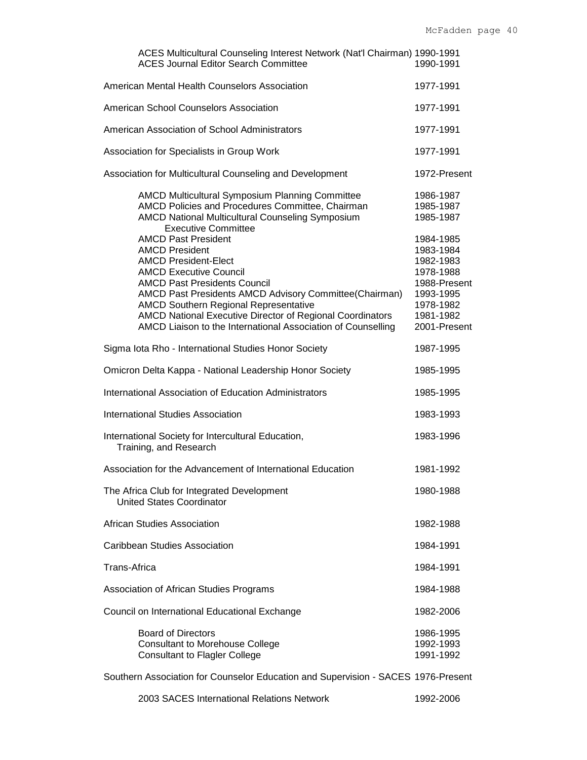| ACES Multicultural Counseling Interest Network (Nat'l Chairman) 1990-1991<br><b>ACES Journal Editor Search Committee</b>                                                                                                                                                                                                                                                                                                                                                                                                                                                                                 | 1990-1991                                                                                                                                                      |
|----------------------------------------------------------------------------------------------------------------------------------------------------------------------------------------------------------------------------------------------------------------------------------------------------------------------------------------------------------------------------------------------------------------------------------------------------------------------------------------------------------------------------------------------------------------------------------------------------------|----------------------------------------------------------------------------------------------------------------------------------------------------------------|
| American Mental Health Counselors Association                                                                                                                                                                                                                                                                                                                                                                                                                                                                                                                                                            | 1977-1991                                                                                                                                                      |
| American School Counselors Association                                                                                                                                                                                                                                                                                                                                                                                                                                                                                                                                                                   | 1977-1991                                                                                                                                                      |
| American Association of School Administrators                                                                                                                                                                                                                                                                                                                                                                                                                                                                                                                                                            | 1977-1991                                                                                                                                                      |
| Association for Specialists in Group Work                                                                                                                                                                                                                                                                                                                                                                                                                                                                                                                                                                | 1977-1991                                                                                                                                                      |
| Association for Multicultural Counseling and Development                                                                                                                                                                                                                                                                                                                                                                                                                                                                                                                                                 | 1972-Present                                                                                                                                                   |
| <b>AMCD Multicultural Symposium Planning Committee</b><br>AMCD Policies and Procedures Committee, Chairman<br>AMCD National Multicultural Counseling Symposium<br><b>Executive Committee</b><br><b>AMCD Past President</b><br><b>AMCD President</b><br><b>AMCD President-Elect</b><br><b>AMCD Executive Council</b><br><b>AMCD Past Presidents Council</b><br>AMCD Past Presidents AMCD Advisory Committee(Chairman)<br><b>AMCD Southern Regional Representative</b><br><b>AMCD National Executive Director of Regional Coordinators</b><br>AMCD Liaison to the International Association of Counselling | 1986-1987<br>1985-1987<br>1985-1987<br>1984-1985<br>1983-1984<br>1982-1983<br>1978-1988<br>1988-Present<br>1993-1995<br>1978-1982<br>1981-1982<br>2001-Present |
| Sigma Iota Rho - International Studies Honor Society                                                                                                                                                                                                                                                                                                                                                                                                                                                                                                                                                     | 1987-1995                                                                                                                                                      |
| Omicron Delta Kappa - National Leadership Honor Society                                                                                                                                                                                                                                                                                                                                                                                                                                                                                                                                                  | 1985-1995                                                                                                                                                      |
| International Association of Education Administrators                                                                                                                                                                                                                                                                                                                                                                                                                                                                                                                                                    | 1985-1995                                                                                                                                                      |
| <b>International Studies Association</b>                                                                                                                                                                                                                                                                                                                                                                                                                                                                                                                                                                 | 1983-1993                                                                                                                                                      |
| International Society for Intercultural Education,<br>Training, and Research                                                                                                                                                                                                                                                                                                                                                                                                                                                                                                                             | 1983-1996                                                                                                                                                      |
| Association for the Advancement of International Education                                                                                                                                                                                                                                                                                                                                                                                                                                                                                                                                               | 1981-1992                                                                                                                                                      |
| The Africa Club for Integrated Development<br><b>United States Coordinator</b>                                                                                                                                                                                                                                                                                                                                                                                                                                                                                                                           | 1980-1988                                                                                                                                                      |
| African Studies Association                                                                                                                                                                                                                                                                                                                                                                                                                                                                                                                                                                              | 1982-1988                                                                                                                                                      |
| Caribbean Studies Association                                                                                                                                                                                                                                                                                                                                                                                                                                                                                                                                                                            | 1984-1991                                                                                                                                                      |
| Trans-Africa                                                                                                                                                                                                                                                                                                                                                                                                                                                                                                                                                                                             | 1984-1991                                                                                                                                                      |
| Association of African Studies Programs                                                                                                                                                                                                                                                                                                                                                                                                                                                                                                                                                                  | 1984-1988                                                                                                                                                      |
| Council on International Educational Exchange                                                                                                                                                                                                                                                                                                                                                                                                                                                                                                                                                            | 1982-2006                                                                                                                                                      |
| <b>Board of Directors</b><br><b>Consultant to Morehouse College</b><br><b>Consultant to Flagler College</b>                                                                                                                                                                                                                                                                                                                                                                                                                                                                                              | 1986-1995<br>1992-1993<br>1991-1992                                                                                                                            |
| Southern Association for Counselor Education and Supervision - SACES 1976-Present                                                                                                                                                                                                                                                                                                                                                                                                                                                                                                                        |                                                                                                                                                                |
| 2003 SACES International Relations Network                                                                                                                                                                                                                                                                                                                                                                                                                                                                                                                                                               | 1992-2006                                                                                                                                                      |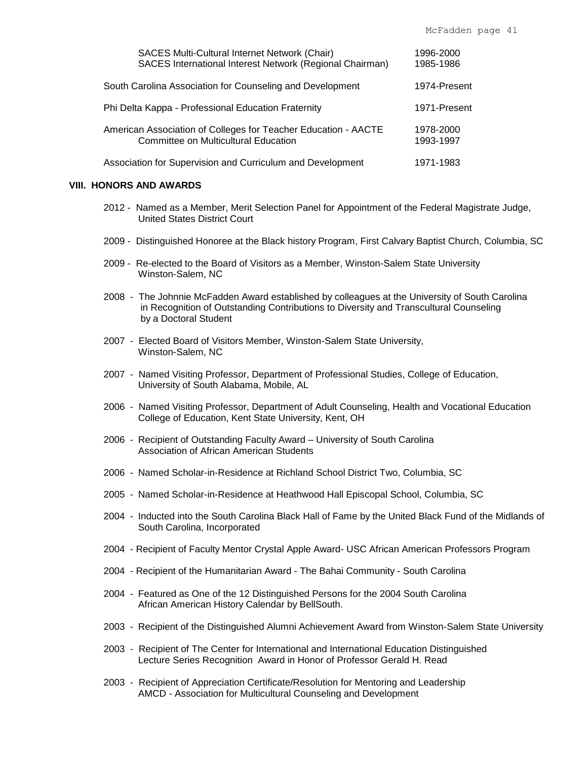| <b>SACES Multi-Cultural Internet Network (Chair)</b><br>SACES International Interest Network (Regional Chairman) | 1996-2000<br>1985-1986 |
|------------------------------------------------------------------------------------------------------------------|------------------------|
| South Carolina Association for Counseling and Development                                                        | 1974-Present           |
| Phi Delta Kappa - Professional Education Fraternity                                                              | 1971-Present           |
| American Association of Colleges for Teacher Education - AACTE<br>Committee on Multicultural Education           | 1978-2000<br>1993-1997 |
| Association for Supervision and Curriculum and Development                                                       | 1971-1983              |

#### **VIII. HONORS AND AWARDS**

- 2012 Named as a Member, Merit Selection Panel for Appointment of the Federal Magistrate Judge, United States District Court
- 2009 Distinguished Honoree at the Black history Program, First Calvary Baptist Church, Columbia, SC
- 2009 Re-elected to the Board of Visitors as a Member, Winston-Salem State University Winston-Salem, NC
- 2008 The Johnnie McFadden Award established by colleagues at the University of South Carolina in Recognition of Outstanding Contributions to Diversity and Transcultural Counseling by a Doctoral Student
- 2007 Elected Board of Visitors Member, Winston-Salem State University, Winston-Salem, NC
- 2007 Named Visiting Professor, Department of Professional Studies, College of Education, University of South Alabama, Mobile, AL
- 2006 Named Visiting Professor, Department of Adult Counseling, Health and Vocational Education College of Education, Kent State University, Kent, OH
- 2006 Recipient of Outstanding Faculty Award University of South Carolina Association of African American Students
- 2006 Named Scholar-in-Residence at Richland School District Two, Columbia, SC
- 2005 Named Scholar-in-Residence at Heathwood Hall Episcopal School, Columbia, SC
- 2004 Inducted into the South Carolina Black Hall of Fame by the United Black Fund of the Midlands of South Carolina, Incorporated
- 2004 Recipient of Faculty Mentor Crystal Apple Award- USC African American Professors Program
- 2004 Recipient of the Humanitarian Award The Bahai Community South Carolina
- 2004 Featured as One of the 12 Distinguished Persons for the 2004 South Carolina African American History Calendar by BellSouth.
- 2003 Recipient of the Distinguished Alumni Achievement Award from Winston-Salem State University
- 2003 Recipient of The Center for International and International Education Distinguished Lecture Series Recognition Award in Honor of Professor Gerald H. Read
- 2003 Recipient of Appreciation Certificate/Resolution for Mentoring and Leadership AMCD - Association for Multicultural Counseling and Development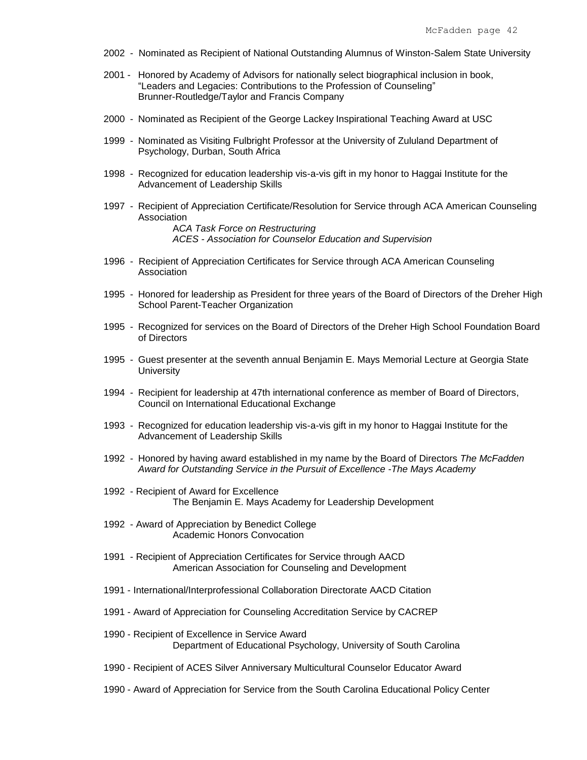- 2002 Nominated as Recipient of National Outstanding Alumnus of Winston-Salem State University
- 2001 Honored by Academy of Advisors for nationally select biographical inclusion in book, "Leaders and Legacies: Contributions to the Profession of Counseling" Brunner-Routledge/Taylor and Francis Company
- 2000 Nominated as Recipient of the George Lackey Inspirational Teaching Award at USC
- 1999 Nominated as Visiting Fulbright Professor at the University of Zululand Department of Psychology, Durban, South Africa
- 1998 Recognized for education leadership vis-a-vis gift in my honor to Haggai Institute for the Advancement of Leadership Skills
- 1997 Recipient of Appreciation Certificate/Resolution for Service through ACA American Counseling Association A*CA Task Force on Restructuring ACES - Association for Counselor Education and Supervision*
- 1996 Recipient of Appreciation Certificates for Service through ACA American Counseling Association
- 1995 Honored for leadership as President for three years of the Board of Directors of the Dreher High School Parent-Teacher Organization
- 1995 Recognized for services on the Board of Directors of the Dreher High School Foundation Board of Directors
- 1995 Guest presenter at the seventh annual Benjamin E. Mays Memorial Lecture at Georgia State **University**
- 1994 Recipient for leadership at 47th international conference as member of Board of Directors, Council on International Educational Exchange
- 1993 Recognized for education leadership vis-a-vis gift in my honor to Haggai Institute for the Advancement of Leadership Skills
- 1992 Honored by having award established in my name by the Board of Directors *The McFadden Award for Outstanding Service in the Pursuit of Excellence -The Mays Academy*
- 1992 Recipient of Award for Excellence The Benjamin E. Mays Academy for Leadership Development
- 1992 Award of Appreciation by Benedict College Academic Honors Convocation
- 1991 Recipient of Appreciation Certificates for Service through AACD American Association for Counseling and Development
- 1991 International/Interprofessional Collaboration Directorate AACD Citation
- 1991 Award of Appreciation for Counseling Accreditation Service by CACREP
- 1990 Recipient of Excellence in Service Award Department of Educational Psychology, University of South Carolina
- 1990 Recipient of ACES Silver Anniversary Multicultural Counselor Educator Award
- 1990 Award of Appreciation for Service from the South Carolina Educational Policy Center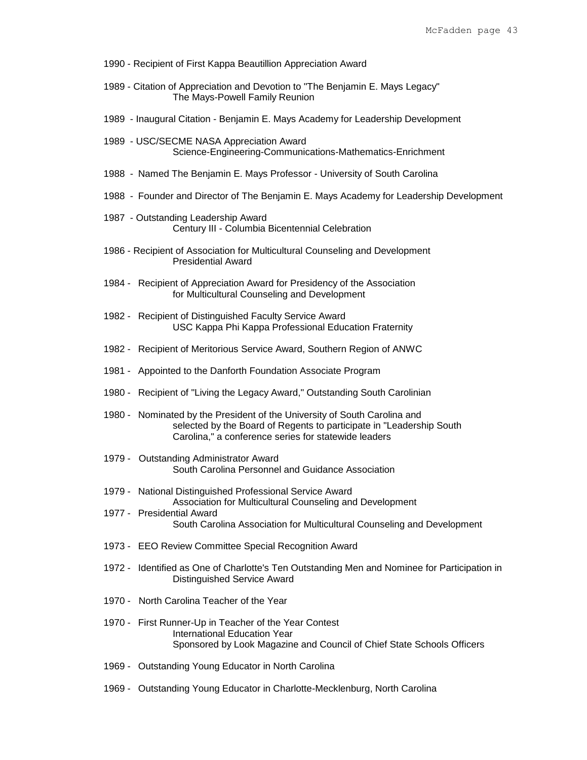- 1990 Recipient of First Kappa Beautillion Appreciation Award
- 1989 Citation of Appreciation and Devotion to "The Benjamin E. Mays Legacy" The Mays-Powell Family Reunion
- 1989 Inaugural Citation Benjamin E. Mays Academy for Leadership Development
- 1989 USC/SECME NASA Appreciation Award Science-Engineering-Communications-Mathematics-Enrichment
- 1988 Named The Benjamin E. Mays Professor University of South Carolina
- 1988 Founder and Director of The Benjamin E. Mays Academy for Leadership Development
- 1987 Outstanding Leadership Award Century III - Columbia Bicentennial Celebration
- 1986 Recipient of Association for Multicultural Counseling and Development Presidential Award
- 1984 Recipient of Appreciation Award for Presidency of the Association for Multicultural Counseling and Development
- 1982 Recipient of Distinguished Faculty Service Award USC Kappa Phi Kappa Professional Education Fraternity
- 1982 Recipient of Meritorious Service Award, Southern Region of ANWC
- 1981 Appointed to the Danforth Foundation Associate Program
- 1980 Recipient of "Living the Legacy Award," Outstanding South Carolinian
- 1980 Nominated by the President of the University of South Carolina and selected by the Board of Regents to participate in "Leadership South Carolina," a conference series for statewide leaders
- 1979 Outstanding Administrator Award South Carolina Personnel and Guidance Association
- 1979 National Distinguished Professional Service Award
- Association for Multicultural Counseling and Development 1977 - Presidential Award South Carolina Association for Multicultural Counseling and Development
- 1973 EEO Review Committee Special Recognition Award
- 1972 Identified as One of Charlotte's Ten Outstanding Men and Nominee for Participation in Distinguished Service Award
- 1970 North Carolina Teacher of the Year
- 1970 First Runner-Up in Teacher of the Year Contest International Education Year Sponsored by Look Magazine and Council of Chief State Schools Officers
- 1969 Outstanding Young Educator in North Carolina
- 1969 Outstanding Young Educator in Charlotte-Mecklenburg, North Carolina